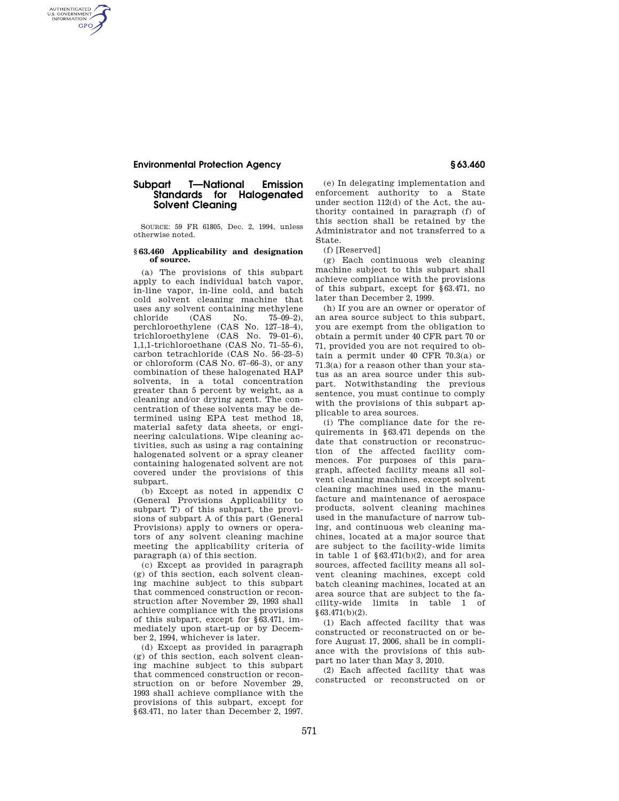AUTHENTICATED<br>U.S. GOVERNMENT<br>INFORMATION **GPO** 

### **Subpart T—National Emission Standards for Halogenated Solvent Cleaning**

SOURCE: 59 FR 61805, Dec. 2, 1994, unless otherwise noted.

#### **§ 63.460 Applicability and designation of source.**

(a) The provisions of this subpart apply to each individual batch vapor, in-line vapor, in-line cold, and batch cold solvent cleaning machine that uses any solvent containing methylene chloride (CAS No. 75–09–2), perchloroethylene (CAS No. 127–18–4), trichloroethylene (CAS No. 79–01–6), 1,1,1-trichloroethane (CAS No. 71–55–6), carbon tetrachloride (CAS No. 56–23–5) or chloroform (CAS No. 67–66–3), or any combination of these halogenated HAP solvents, in a total concentration greater than 5 percent by weight, as a cleaning and/or drying agent. The concentration of these solvents may be determined using EPA test method 18, material safety data sheets, or engineering calculations. Wipe cleaning activities, such as using a rag containing halogenated solvent or a spray cleaner containing halogenated solvent are not covered under the provisions of this subpart.

(b) Except as noted in appendix C (General Provisions Applicability to subpart T) of this subpart, the provisions of subpart A of this part (General Provisions) apply to owners or operators of any solvent cleaning machine meeting the applicability criteria of paragraph (a) of this section.

(c) Except as provided in paragraph (g) of this section, each solvent cleaning machine subject to this subpart that commenced construction or reconstruction after November 29, 1993 shall achieve compliance with the provisions of this subpart, except for §63.471, immediately upon start-up or by December 2, 1994, whichever is later.

(d) Except as provided in paragraph (g) of this section, each solvent cleaning machine subject to this subpart that commenced construction or reconstruction on or before November 29, 1993 shall achieve compliance with the provisions of this subpart, except for §63.471, no later than December 2, 1997.

(e) In delegating implementation and enforcement authority to a State under section 112(d) of the Act, the authority contained in paragraph (f) of this section shall be retained by the Administrator and not transferred to a State.

(f) [Reserved]

(g) Each continuous web cleaning machine subject to this subpart shall achieve compliance with the provisions of this subpart, except for §63.471, no later than December 2, 1999.

(h) If you are an owner or operator of an area source subject to this subpart, you are exempt from the obligation to obtain a permit under 40 CFR part 70 or 71, provided you are not required to obtain a permit under 40 CFR 70.3(a) or 71.3(a) for a reason other than your status as an area source under this subpart. Notwithstanding the previous sentence, you must continue to comply with the provisions of this subpart applicable to area sources.

(i) The compliance date for the requirements in §63.471 depends on the date that construction or reconstruction of the affected facility commences. For purposes of this paragraph, affected facility means all solvent cleaning machines, except solvent cleaning machines used in the manufacture and maintenance of aerospace products, solvent cleaning machines used in the manufacture of narrow tubing, and continuous web cleaning machines, located at a major source that are subject to the facility-wide limits in table 1 of  $§63.471(b)(2)$ , and for area sources, affected facility means all solvent cleaning machines, except cold batch cleaning machines, located at an area source that are subject to the facility-wide limits in table 1 of §63.471(b)(2).

(1) Each affected facility that was constructed or reconstructed on or before August 17, 2006, shall be in compliance with the provisions of this subpart no later than May 3, 2010.

(2) Each affected facility that was constructed or reconstructed on or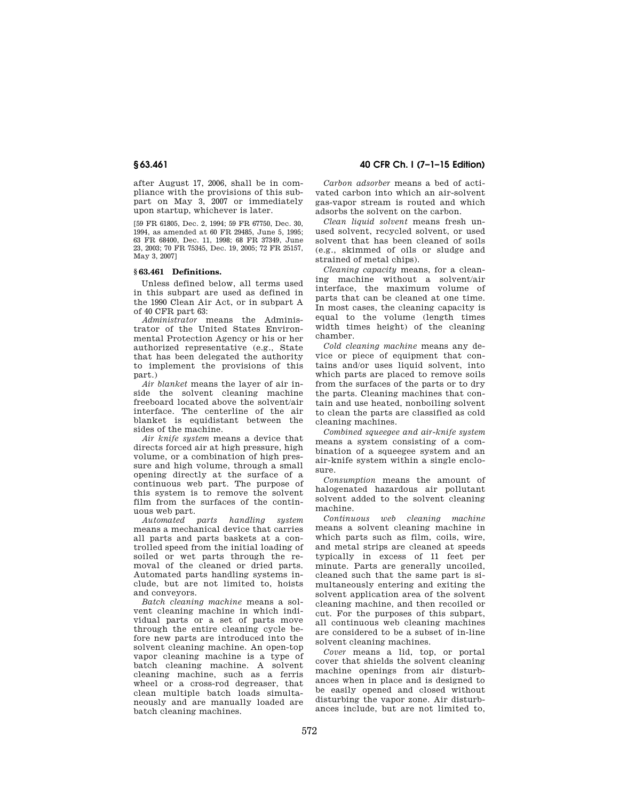after August 17, 2006, shall be in compliance with the provisions of this subpart on May 3, 2007 or immediately upon startup, whichever is later.

[59 FR 61805, Dec. 2, 1994; 59 FR 67750, Dec. 30, 1994, as amended at 60 FR 29485, June 5, 1995; 63 FR 68400, Dec. 11, 1998; 68 FR 37349, June 23, 2003; 70 FR 75345, Dec. 19, 2005; 72 FR 25157, May 3, 2007]

#### **§ 63.461 Definitions.**

Unless defined below, all terms used in this subpart are used as defined in the 1990 Clean Air Act, or in subpart A of 40 CFR part 63:

*Administrator* means the Administrator of the United States Environmental Protection Agency or his or her authorized representative (e.g., State that has been delegated the authority to implement the provisions of this part.)

*Air blanket* means the layer of air inside the solvent cleaning machine freeboard located above the solvent/air interface. The centerline of the air blanket is equidistant between the sides of the machine.

*Air knife system* means a device that directs forced air at high pressure, high volume, or a combination of high pressure and high volume, through a small opening directly at the surface of a continuous web part. The purpose of this system is to remove the solvent film from the surfaces of the contin-

uous web part.<br>Automated parts *Automated parts handling system*  means a mechanical device that carries all parts and parts baskets at a controlled speed from the initial loading of soiled or wet parts through the removal of the cleaned or dried parts. Automated parts handling systems include, but are not limited to, hoists and conveyors.

*Batch cleaning machine* means a solvent cleaning machine in which individual parts or a set of parts move through the entire cleaning cycle before new parts are introduced into the solvent cleaning machine. An open-top vapor cleaning machine is a type of batch cleaning machine. A solvent cleaning machine, such as a ferris wheel or a cross-rod degreaser, that clean multiple batch loads simultaneously and are manually loaded are batch cleaning machines.

**§ 63.461 40 CFR Ch. I (7–1–15 Edition)** 

*Carbon adsorber* means a bed of activated carbon into which an air-solvent gas-vapor stream is routed and which adsorbs the solvent on the carbon.

*Clean liquid solvent* means fresh unused solvent, recycled solvent, or used solvent that has been cleaned of soils (e.g., skimmed of oils or sludge and strained of metal chips).

*Cleaning capacity* means, for a cleaning machine without a solvent/air interface, the maximum volume of parts that can be cleaned at one time. In most cases, the cleaning capacity is equal to the volume (length times width times height) of the cleaning chamber.

*Cold cleaning machine* means any device or piece of equipment that contains and/or uses liquid solvent, into which parts are placed to remove soils from the surfaces of the parts or to dry the parts. Cleaning machines that contain and use heated, nonboiling solvent to clean the parts are classified as cold cleaning machines.

*Combined squeegee and air-knife system*  means a system consisting of a combination of a squeegee system and an air-knife system within a single enclosure.

*Consumption* means the amount of halogenated hazardous air pollutant solvent added to the solvent cleaning machine.

*Continuous web cleaning machine*  means a solvent cleaning machine in which parts such as film, coils, wire, and metal strips are cleaned at speeds typically in excess of 11 feet per minute. Parts are generally uncoiled, cleaned such that the same part is simultaneously entering and exiting the solvent application area of the solvent cleaning machine, and then recoiled or cut. For the purposes of this subpart, all continuous web cleaning machines are considered to be a subset of in-line solvent cleaning machines.

*Cover* means a lid, top, or portal cover that shields the solvent cleaning machine openings from air disturbances when in place and is designed to be easily opened and closed without disturbing the vapor zone. Air disturbances include, but are not limited to,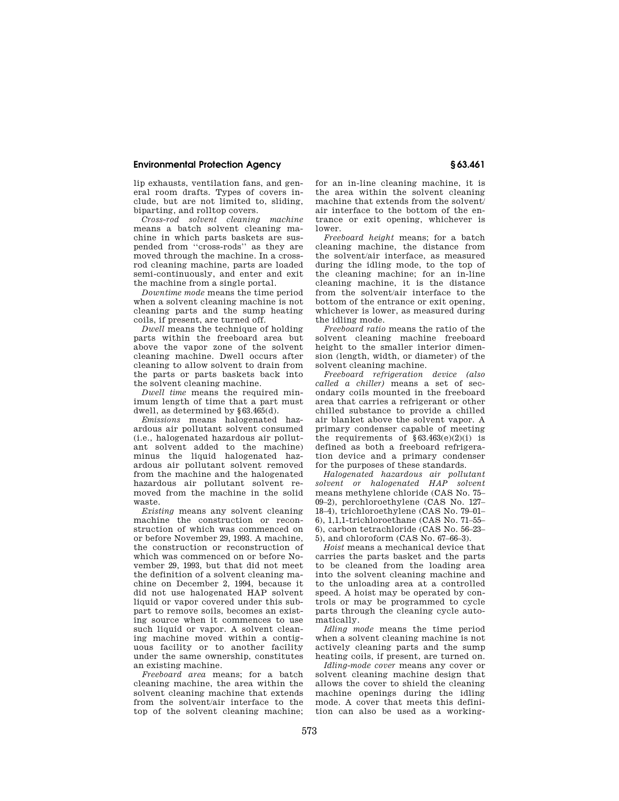lip exhausts, ventilation fans, and general room drafts. Types of covers include, but are not limited to, sliding, biparting, and rolltop covers.

*Cross-rod solvent cleaning machine*  means a batch solvent cleaning machine in which parts baskets are suspended from ''cross-rods'' as they are moved through the machine. In a crossrod cleaning machine, parts are loaded semi-continuously, and enter and exit the machine from a single portal.

*Downtime mode* means the time period when a solvent cleaning machine is not cleaning parts and the sump heating coils, if present, are turned off.

*Dwell* means the technique of holding parts within the freeboard area but above the vapor zone of the solvent cleaning machine. Dwell occurs after cleaning to allow solvent to drain from the parts or parts baskets back into the solvent cleaning machine.

*Dwell time* means the required minimum length of time that a part must dwell, as determined by §63.465(d).

*Emissions* means halogenated hazardous air pollutant solvent consumed (i.e., halogenated hazardous air pollutant solvent added to the machine) minus the liquid halogenated hazardous air pollutant solvent removed from the machine and the halogenated hazardous air pollutant solvent removed from the machine in the solid waste.

*Existing* means any solvent cleaning machine the construction or reconstruction of which was commenced on or before November 29, 1993. A machine, the construction or reconstruction of which was commenced on or before November 29, 1993, but that did not meet the definition of a solvent cleaning machine on December 2, 1994, because it did not use halogenated HAP solvent liquid or vapor covered under this subpart to remove soils, becomes an existing source when it commences to use such liquid or vapor. A solvent cleaning machine moved within a contiguous facility or to another facility under the same ownership, constitutes an existing machine.

*Freeboard area* means; for a batch cleaning machine, the area within the solvent cleaning machine that extends from the solvent/air interface to the top of the solvent cleaning machine; for an in-line cleaning machine, it is the area within the solvent cleaning machine that extends from the solvent/ air interface to the bottom of the entrance or exit opening, whichever is lower.

*Freeboard height* means; for a batch cleaning machine, the distance from the solvent/air interface, as measured during the idling mode, to the top of the cleaning machine; for an in-line cleaning machine, it is the distance from the solvent/air interface to the bottom of the entrance or exit opening, whichever is lower, as measured during the idling mode.

*Freeboard ratio* means the ratio of the solvent cleaning machine freeboard height to the smaller interior dimension (length, width, or diameter) of the solvent cleaning machine.

*Freeboard refrigeration device (also called a chiller)* means a set of secondary coils mounted in the freeboard area that carries a refrigerant or other chilled substance to provide a chilled air blanket above the solvent vapor. A primary condenser capable of meeting the requirements of  $§63.463(e)(2)(i)$  is defined as both a freeboard refrigeration device and a primary condenser for the purposes of these standards.

*Halogenated hazardous air pollutant solvent or halogenated HAP solvent*  means methylene chloride (CAS No. 75– 09–2), perchloroethylene (CAS No. 127– 18–4), trichloroethylene (CAS No. 79–01– 6), 1,1,1-trichloroethane (CAS No. 71–55– 6), carbon tetrachloride (CAS No. 56–23– 5), and chloroform  $(CAS \ N_0 67-66-3)$ .

*Hoist* means a mechanical device that carries the parts basket and the parts to be cleaned from the loading area into the solvent cleaning machine and to the unloading area at a controlled speed. A hoist may be operated by controls or may be programmed to cycle parts through the cleaning cycle automatically.

*Idling mode* means the time period when a solvent cleaning machine is not actively cleaning parts and the sump heating coils, if present, are turned on.

*Idling-mode cover* means any cover or solvent cleaning machine design that allows the cover to shield the cleaning machine openings during the idling mode. A cover that meets this definition can also be used as a working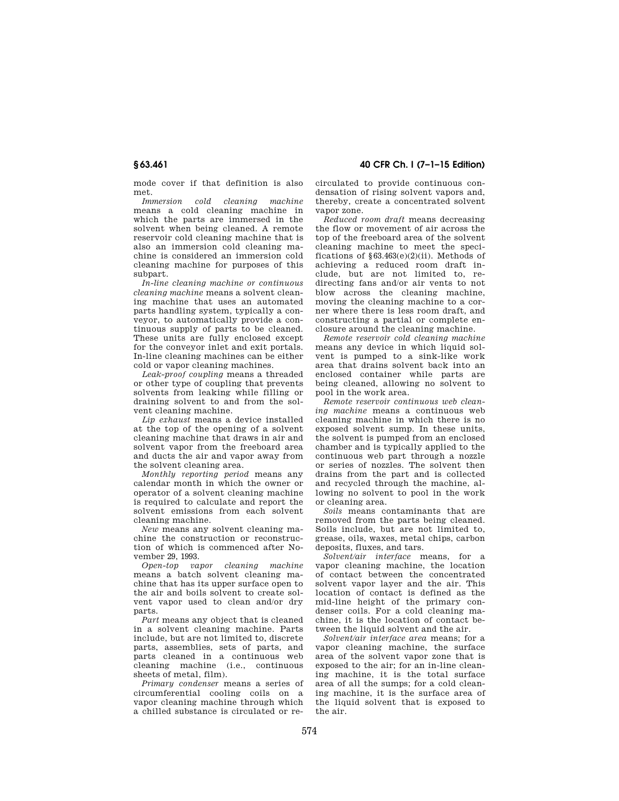mode cover if that definition is also met.

*Immersion cold cleaning machine*  means a cold cleaning machine in which the parts are immersed in the solvent when being cleaned. A remote reservoir cold cleaning machine that is also an immersion cold cleaning machine is considered an immersion cold cleaning machine for purposes of this subpart.

*In-line cleaning machine or continuous cleaning machine* means a solvent cleaning machine that uses an automated parts handling system, typically a conveyor, to automatically provide a continuous supply of parts to be cleaned. These units are fully enclosed except for the conveyor inlet and exit portals. In-line cleaning machines can be either cold or vapor cleaning machines.

*Leak-proof coupling* means a threaded or other type of coupling that prevents solvents from leaking while filling or draining solvent to and from the solvent cleaning machine.

*Lip exhaust* means a device installed at the top of the opening of a solvent cleaning machine that draws in air and solvent vapor from the freeboard area and ducts the air and vapor away from the solvent cleaning area.

*Monthly reporting period* means any calendar month in which the owner or operator of a solvent cleaning machine is required to calculate and report the solvent emissions from each solvent cleaning machine.

*New* means any solvent cleaning machine the construction or reconstruction of which is commenced after November 29, 1993.

*Open-top vapor cleaning machine*  means a batch solvent cleaning machine that has its upper surface open to the air and boils solvent to create solvent vapor used to clean and/or dry parts.

*Part* means any object that is cleaned in a solvent cleaning machine. Parts include, but are not limited to, discrete parts, assemblies, sets of parts, and parts cleaned in a continuous web cleaning machine (i.e., continuous sheets of metal, film).

*Primary condenser* means a series of circumferential cooling coils on a vapor cleaning machine through which a chilled substance is circulated or re-

**§ 63.461 40 CFR Ch. I (7–1–15 Edition)** 

circulated to provide continuous condensation of rising solvent vapors and, thereby, create a concentrated solvent vapor zone.

*Reduced room draft* means decreasing the flow or movement of air across the top of the freeboard area of the solvent cleaning machine to meet the specifications of  $§63.463(e)(2)(ii)$ . Methods of achieving a reduced room draft include, but are not limited to, redirecting fans and/or air vents to not blow across the cleaning machine, moving the cleaning machine to a corner where there is less room draft, and constructing a partial or complete enclosure around the cleaning machine.

*Remote reservoir cold cleaning machine*  means any device in which liquid solvent is pumped to a sink-like work area that drains solvent back into an enclosed container while parts are being cleaned, allowing no solvent to pool in the work area.

*Remote reservoir continuous web cleaning machine* means a continuous web cleaning machine in which there is no exposed solvent sump. In these units, the solvent is pumped from an enclosed chamber and is typically applied to the continuous web part through a nozzle or series of nozzles. The solvent then drains from the part and is collected and recycled through the machine, allowing no solvent to pool in the work or cleaning area.

*Soils* means contaminants that are removed from the parts being cleaned. Soils include, but are not limited to, grease, oils, waxes, metal chips, carbon deposits, fluxes, and tars.

*Solvent/air interface* means, for a vapor cleaning machine, the location of contact between the concentrated solvent vapor layer and the air. This location of contact is defined as the mid-line height of the primary condenser coils. For a cold cleaning machine, it is the location of contact between the liquid solvent and the air.

*Solvent/air interface area* means; for a vapor cleaning machine, the surface area of the solvent vapor zone that is exposed to the air; for an in-line cleaning machine, it is the total surface area of all the sumps; for a cold cleaning machine, it is the surface area of the liquid solvent that is exposed to the air.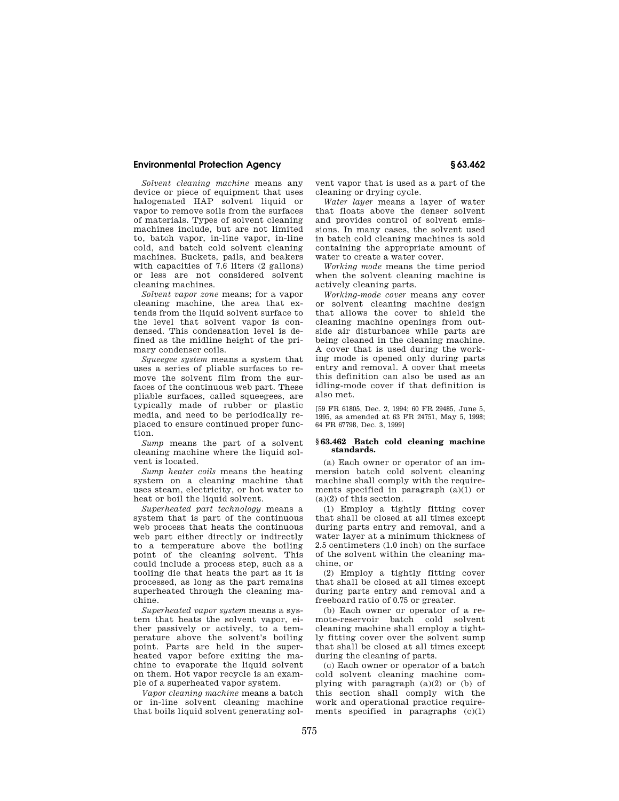*Solvent cleaning machine* means any device or piece of equipment that uses halogenated HAP solvent liquid or vapor to remove soils from the surfaces of materials. Types of solvent cleaning machines include, but are not limited to, batch vapor, in-line vapor, in-line cold, and batch cold solvent cleaning machines. Buckets, pails, and beakers with capacities of 7.6 liters (2 gallons) or less are not considered solvent cleaning machines.

*Solvent vapor zone* means; for a vapor cleaning machine, the area that extends from the liquid solvent surface to the level that solvent vapor is condensed. This condensation level is defined as the midline height of the primary condenser coils.

*Squeegee system* means a system that uses a series of pliable surfaces to remove the solvent film from the surfaces of the continuous web part. These pliable surfaces, called squeegees, are typically made of rubber or plastic media, and need to be periodically replaced to ensure continued proper function.

*Sump* means the part of a solvent cleaning machine where the liquid solvent is located.

*Sump heater coils* means the heating system on a cleaning machine that uses steam, electricity, or hot water to heat or boil the liquid solvent.

*Superheated part technology* means a system that is part of the continuous web process that heats the continuous web part either directly or indirectly to a temperature above the boiling point of the cleaning solvent. This could include a process step, such as a tooling die that heats the part as it is processed, as long as the part remains superheated through the cleaning machine.

*Superheated vapor system* means a system that heats the solvent vapor, either passively or actively, to a temperature above the solvent's boiling point. Parts are held in the superheated vapor before exiting the machine to evaporate the liquid solvent on them. Hot vapor recycle is an example of a superheated vapor system.

*Vapor cleaning machine* means a batch or in-line solvent cleaning machine that boils liquid solvent generating solvent vapor that is used as a part of the cleaning or drying cycle.

*Water layer* means a layer of water that floats above the denser solvent and provides control of solvent emissions. In many cases, the solvent used in batch cold cleaning machines is sold containing the appropriate amount of water to create a water cover.

*Working mode* means the time period when the solvent cleaning machine is actively cleaning parts.

*Working-mode cover* means any cover or solvent cleaning machine design that allows the cover to shield the cleaning machine openings from outside air disturbances while parts are being cleaned in the cleaning machine. A cover that is used during the working mode is opened only during parts entry and removal. A cover that meets this definition can also be used as an idling-mode cover if that definition is also met.

[59 FR 61805, Dec. 2, 1994; 60 FR 29485, June 5, 1995, as amended at 63 FR 24751, May 5, 1998; 64 FR 67798, Dec. 3, 1999]

#### **§ 63.462 Batch cold cleaning machine standards.**

(a) Each owner or operator of an immersion batch cold solvent cleaning machine shall comply with the requirements specified in paragraph (a)(1) or (a)(2) of this section.

(1) Employ a tightly fitting cover that shall be closed at all times except during parts entry and removal, and a water layer at a minimum thickness of 2.5 centimeters (1.0 inch) on the surface of the solvent within the cleaning machine, or

(2) Employ a tightly fitting cover that shall be closed at all times except during parts entry and removal and a freeboard ratio of 0.75 or greater.

(b) Each owner or operator of a remote-reservoir batch cold solvent cleaning machine shall employ a tightly fitting cover over the solvent sump that shall be closed at all times except during the cleaning of parts.

(c) Each owner or operator of a batch cold solvent cleaning machine complying with paragraph  $(a)(2)$  or  $(b)$  of this section shall comply with the work and operational practice requirements specified in paragraphs  $(c)(1)$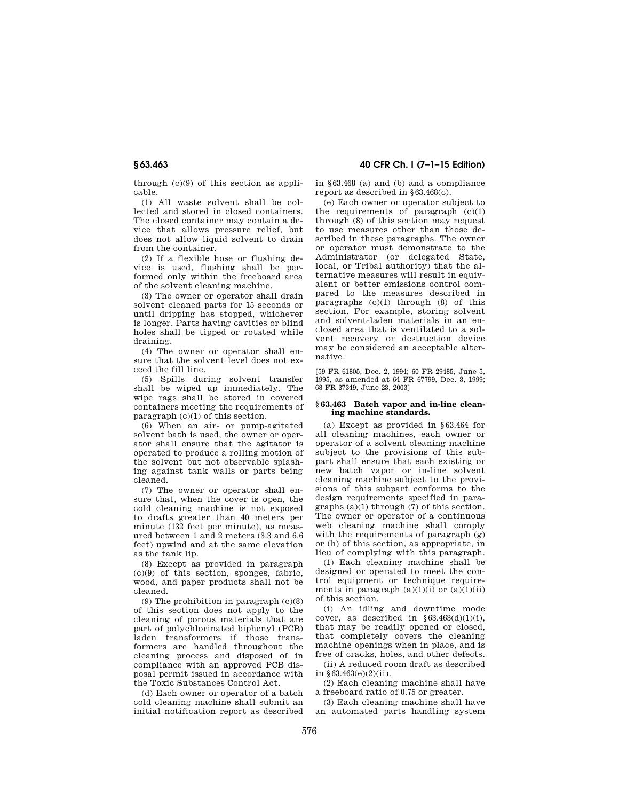through (c)(9) of this section as applicable.

(1) All waste solvent shall be collected and stored in closed containers. The closed container may contain a device that allows pressure relief, but does not allow liquid solvent to drain from the container.

(2) If a flexible hose or flushing device is used, flushing shall be performed only within the freeboard area of the solvent cleaning machine.

(3) The owner or operator shall drain solvent cleaned parts for 15 seconds or until dripping has stopped, whichever is longer. Parts having cavities or blind holes shall be tipped or rotated while draining.

(4) The owner or operator shall ensure that the solvent level does not exceed the fill line.

(5) Spills during solvent transfer shall be wiped up immediately. The wipe rags shall be stored in covered containers meeting the requirements of paragraph (c)(1) of this section.

(6) When an air- or pump-agitated solvent bath is used, the owner or operator shall ensure that the agitator is operated to produce a rolling motion of the solvent but not observable splashing against tank walls or parts being cleaned.

(7) The owner or operator shall ensure that, when the cover is open, the cold cleaning machine is not exposed to drafts greater than 40 meters per minute (132 feet per minute), as measured between 1 and 2 meters (3.3 and 6.6 feet) upwind and at the same elevation as the tank lip.

(8) Except as provided in paragraph (c)(9) of this section, sponges, fabric, wood, and paper products shall not be cleaned.

(9) The prohibition in paragraph  $(c)(8)$ of this section does not apply to the cleaning of porous materials that are part of polychlorinated biphenyl (PCB) laden transformers if those transformers are handled throughout the cleaning process and disposed of in compliance with an approved PCB disposal permit issued in accordance with the Toxic Substances Control Act.

(d) Each owner or operator of a batch cold cleaning machine shall submit an initial notification report as described

**§ 63.463 40 CFR Ch. I (7–1–15 Edition)** 

in §63.468 (a) and (b) and a compliance report as described in §63.468(c).

(e) Each owner or operator subject to the requirements of paragraph  $(c)(1)$ through (8) of this section may request to use measures other than those described in these paragraphs. The owner or operator must demonstrate to the Administrator (or delegated State, local, or Tribal authority) that the alternative measures will result in equivalent or better emissions control compared to the measures described in paragraphs  $(c)(1)$  through  $(8)$  of this section. For example, storing solvent and solvent-laden materials in an enclosed area that is ventilated to a solvent recovery or destruction device may be considered an acceptable alternative.

[59 FR 61805, Dec. 2, 1994; 60 FR 29485, June 5, 1995, as amended at 64 FR 67799, Dec. 3, 1999; 68 FR 37349, June 23, 2003]

#### **§ 63.463 Batch vapor and in-line cleaning machine standards.**

(a) Except as provided in §63.464 for all cleaning machines, each owner or operator of a solvent cleaning machine subject to the provisions of this subpart shall ensure that each existing or new batch vapor or in-line solvent cleaning machine subject to the provisions of this subpart conforms to the design requirements specified in paragraphs  $(a)(1)$  through  $(7)$  of this section. The owner or operator of a continuous web cleaning machine shall comply with the requirements of paragraph  $(g)$ or (h) of this section, as appropriate, in lieu of complying with this paragraph.

(1) Each cleaning machine shall be designed or operated to meet the control equipment or technique requirements in paragraph  $(a)(1)(i)$  or  $(a)(1)(ii)$ of this section.

(i) An idling and downtime mode cover, as described in  $$63.463(d)(1)(i)$ . that may be readily opened or closed, that completely covers the cleaning machine openings when in place, and is free of cracks, holes, and other defects.

(ii) A reduced room draft as described in  $§63.463(e)(2)(ii)$ .

(2) Each cleaning machine shall have a freeboard ratio of 0.75 or greater.

(3) Each cleaning machine shall have an automated parts handling system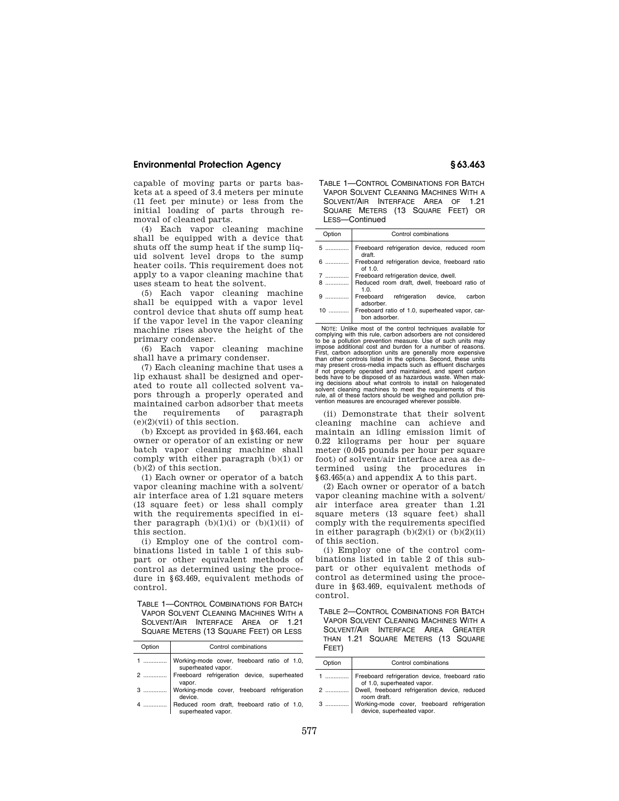capable of moving parts or parts baskets at a speed of 3.4 meters per minute (11 feet per minute) or less from the initial loading of parts through removal of cleaned parts.

(4) Each vapor cleaning machine shall be equipped with a device that shuts off the sump heat if the sump liquid solvent level drops to the sump heater coils. This requirement does not apply to a vapor cleaning machine that uses steam to heat the solvent.

(5) Each vapor cleaning machine shall be equipped with a vapor level control device that shuts off sump heat if the vapor level in the vapor cleaning machine rises above the height of the primary condenser.

(6) Each vapor cleaning machine shall have a primary condenser.

(7) Each cleaning machine that uses a lip exhaust shall be designed and operated to route all collected solvent vapors through a properly operated and maintained carbon adsorber that meets the requirements of paragraph  $(e)(2)(vii)$  of this section.

(b) Except as provided in §63.464, each owner or operator of an existing or new batch vapor cleaning machine shall comply with either paragraph (b)(1) or (b)(2) of this section.

(1) Each owner or operator of a batch vapor cleaning machine with a solvent/ air interface area of 1.21 square meters (13 square feet) or less shall comply with the requirements specified in either paragraph  $(b)(1)(i)$  or  $(b)(1)(ii)$  of this section.

(i) Employ one of the control combinations listed in table 1 of this subpart or other equivalent methods of control as determined using the procedure in §63.469, equivalent methods of control.

TABLE 1—CONTROL COMBINATIONS FOR BATCH VAPOR SOLVENT CLEANING MACHINES WITH A SOLVENT/AIR INTERFACE AREA OF 1.21 SQUARE METERS (13 SQUARE FEET) OR LESS

| Option | Control combinations                                                   |  |  |  |  |
|--------|------------------------------------------------------------------------|--|--|--|--|
|        | 1    Working-mode cover, freeboard ratio of 1.0,<br>superheated vapor. |  |  |  |  |
|        | 2  Freeboard refrigeration device, superheated<br>vapor.               |  |  |  |  |
| 3      | Working-mode cover, freeboard refrigeration<br>device.                 |  |  |  |  |
|        | 4  Reduced room draft, freeboard ratio of 1.0, superheated vapor.      |  |  |  |  |

TABLE 1—CONTROL COMBINATIONS FOR BATCH VAPOR SOLVENT CLEANING MACHINES WITH A SOLVENT/AIR INTERFACE AREA OF 1.21 SQUARE METERS (13 SQUARE FEET) OR LESS—Continued

| Option | Control combinations                                             |  |  |  |
|--------|------------------------------------------------------------------|--|--|--|
| 5      | Freeboard refrigeration device, reduced room<br>draft.           |  |  |  |
| $6$    | Freeboard refrigeration device, freeboard ratio<br>of $1.0$ .    |  |  |  |
| 7      | Freeboard refrigeration device, dwell.                           |  |  |  |
|        | Reduced room draft, dwell, freeboard ratio of<br>1.0.            |  |  |  |
| $9$    | Freeboard refrigeration device, carbon<br>adsorber.              |  |  |  |
| $10$   | Freeboard ratio of 1.0, superheated vapor, car-<br>bon adsorber. |  |  |  |

NOTE: Unlike most of the control techniques available for complying with this rule, carbon adsorbers are not considered to be a pollution prevention measure. Use of such units may impose additional cost and burden for a number of reasons. First, carbon adsorption units are generally more expensive than other controls listed in the options. Second, these units may present cross-media impacts such as effluent discharges if not properly operated and maintained, and spent carbon beds have to be disposed of as hazardous waste. When making decisions about what controls use install on halogenated is install on halogenated solvent cleaning machines to moot the seculity and solvent detail on the seculity of solvent details and solvent details are solvent de solvent cleaning machines to meet the requirements of this rule, all of these factors should be weighed and pollution prevention measures are encouraged wherever possible.

(ii) Demonstrate that their solvent cleaning machine can achieve and maintain an idling emission limit of 0.22 kilograms per hour per square meter (0.045 pounds per hour per square foot) of solvent/air interface area as determined using the procedures in §63.465(a) and appendix A to this part.

(2) Each owner or operator of a batch vapor cleaning machine with a solvent/ air interface area greater than 1.21 square meters (13 square feet) shall comply with the requirements specified in either paragraph  $(b)(2)(i)$  or  $(b)(2)(ii)$ of this section.

(i) Employ one of the control combinations listed in table 2 of this subpart or other equivalent methods of control as determined using the procedure in §63.469, equivalent methods of control.

TABLE 2—CONTROL COMBINATIONS FOR BATCH VAPOR SOLVENT CLEANING MACHINES WITH A SOLVENT/AIR INTERFACE AREA GREATER THAN 1.21 SQUARE METERS (13 SQUARE FEET)

| Option | Control combinations                                                                                                   |  |  |  |  |
|--------|------------------------------------------------------------------------------------------------------------------------|--|--|--|--|
|        | 1  Freeboard refrigeration device, freeboard ratio<br>2  Dwell, freeboard refrigeration device, reduced<br>coom draft. |  |  |  |  |
|        |                                                                                                                        |  |  |  |  |
|        | 3  Working-mode cover, freeboard refrigeration<br>device, superheated vapor.                                           |  |  |  |  |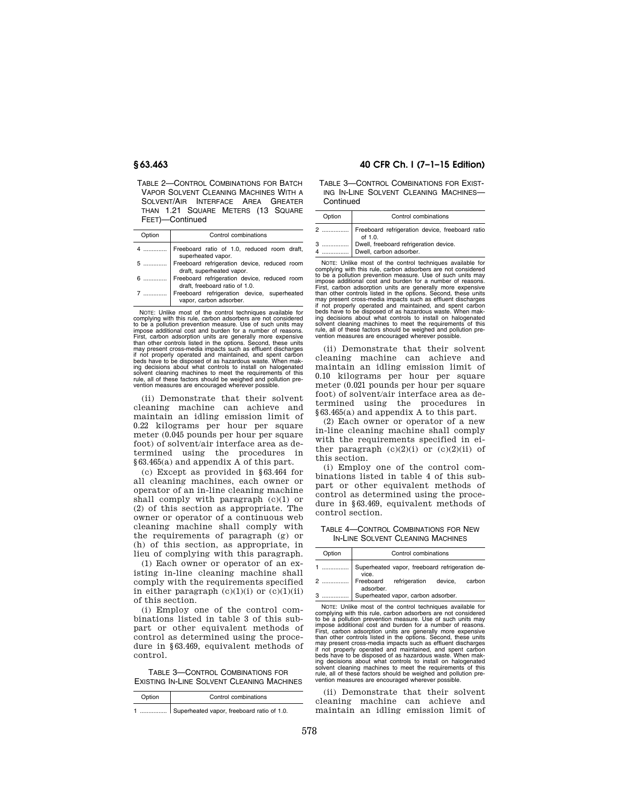TABLE 2—CONTROL COMBINATIONS FOR BATCH VAPOR SOLVENT CLEANING MACHINES WITH A SOLVENT/AIR INTERFACE AREA GREATER THAN 1.21 SQUARE METERS (13 SQUARE FEET)—Continued

| Option | Control combinations                                                           |  |  |  |
|--------|--------------------------------------------------------------------------------|--|--|--|
|        | Freeboard ratio of 1.0, reduced room draft,<br>superheated vapor.              |  |  |  |
| 5      | Freeboard refrigeration device, reduced room<br>draft, superheated vapor.      |  |  |  |
|        | Freeboard refrigeration device, reduced room<br>draft, freeboard ratio of 1.0. |  |  |  |
|        | Freeboard refrigeration device, superheated<br>vapor, carbon adsorber.         |  |  |  |
|        |                                                                                |  |  |  |

NOTE: Unlike most of the control techniques available for complying with this rule, carbon adsorbers are not considered to be a pollution prevention measure. Use of such units may impose additional cost and burden for a number of reasons. First, carbon adsorption units are generally more expensive than other controls listed in the options. Second, these units may present cross-media impacts such as effluent discharges if not properly operated and maintained, and spent carbon beds have to be disposed of as hazardous waste. When making decisions about what controls to install on halogenated<br>solvent cleaning mechines to merching to install on halogenated solvent cleaning machines to meet the requirements of this rule, all of these factors should be weighed and pollution prevention measures are encouraged wherever possible.

(ii) Demonstrate that their solvent cleaning machine can achieve and maintain an idling emission limit of 0.22 kilograms per hour per square meter (0.045 pounds per hour per square foot) of solvent/air interface area as determined using the procedures in §63.465(a) and appendix A of this part.

(c) Except as provided in §63.464 for all cleaning machines, each owner or operator of an in-line cleaning machine shall comply with paragraph (c)(1) or (2) of this section as appropriate. The owner or operator of a continuous web cleaning machine shall comply with the requirements of paragraph (g) or (h) of this section, as appropriate, in lieu of complying with this paragraph.

(1) Each owner or operator of an existing in-line cleaning machine shall comply with the requirements specified in either paragraph  $(c)(1)(i)$  or  $(c)(1)(ii)$ of this section.

(i) Employ one of the control combinations listed in table 3 of this subpart or other equivalent methods of control as determined using the procedure in §63.469, equivalent methods of control.

TABLE 3—CONTROL COMBINATIONS FOR EXISTING IN-LINE SOLVENT CLEANING MACHINES

| Option | Control combinations                       |
|--------|--------------------------------------------|
|        | Superheated vapor, freeboard ratio of 1.0. |

### **§ 63.463 40 CFR Ch. I (7–1–15 Edition)**

TABLE 3—CONTROL COMBINATIONS FOR EXIST-ING IN-LINE SOLVENT CLEANING MACHINES— **Continued** 

| Option | Control combinations                                              |  |  |  |
|--------|-------------------------------------------------------------------|--|--|--|
|        | Freeboard refrigeration device, freeboard ratio<br>of 1.0.        |  |  |  |
| 4      | Dwell, freeboard refrigeration device.<br>Dwell, carbon adsorber. |  |  |  |

NOTE: Unlike most of the control techniques available for complying with this rule, carbon adsorbers are not considered to be a pollution prevention measure. Use of such units may impose additional cost and burden for a number of reasons. First, carbon adsorption units are generally more expensive than other controls listed in the options. Second, these units may present cross-media impacts such as effluent discharges if not properly operated and maintained, and spent carbon<br>beds have to be disposed of as hazardous waste. When mak-<br>ing decisions about what controls to install on halogenated<br>solvent cleaning machines to meet the requirem

(ii) Demonstrate that their solvent cleaning machine can achieve and maintain an idling emission limit of 0.10 kilograms per hour per square meter (0.021 pounds per hour per square foot) of solvent/air interface area as determined using the procedures in §63.465(a) and appendix A to this part.

(2) Each owner or operator of a new in-line cleaning machine shall comply with the requirements specified in either paragraph  $(c)(2)(i)$  or  $(c)(2)(ii)$  of this section.

(i) Employ one of the control combinations listed in table 4 of this subpart or other equivalent methods of control as determined using the procedure in §63.469, equivalent methods of control section.

TABLE 4—CONTROL COMBINATIONS FOR NEW IN-LINE SOLVENT CLEANING MACHINES

| Option | Control combinations                                    |  |  |
|--------|---------------------------------------------------------|--|--|
|        | Superheated vapor, freeboard refrigeration de-<br>vice. |  |  |
|        | Freeboard refrigeration device, carbon<br>adsorber.     |  |  |
|        | Superheated vapor, carbon adsorber.                     |  |  |

NOTE: Unlike most of the control techniques available for complying with this rule, carbon adsorbers are not considered to be a pollution prevention measure. Use of such units may impose additional cost and burden for a number of reasons. First, carbon adsorption units are generally more expensive than other controls listed in the options. Second, these units may present cross-media impacts such as effluent discharges if not properly operated and maintained, and spent carbon beds have to be disposed of as hazardous waste. When making decisions about what controls to install on halogenated<br>solvent cleaning machines to meet the requirements of this<br>rule, all of these factors should be weighed and pollution pre-<br>vention measures are encouraged whereve

(ii) Demonstrate that their solvent cleaning machine can achieve and maintain an idling emission limit of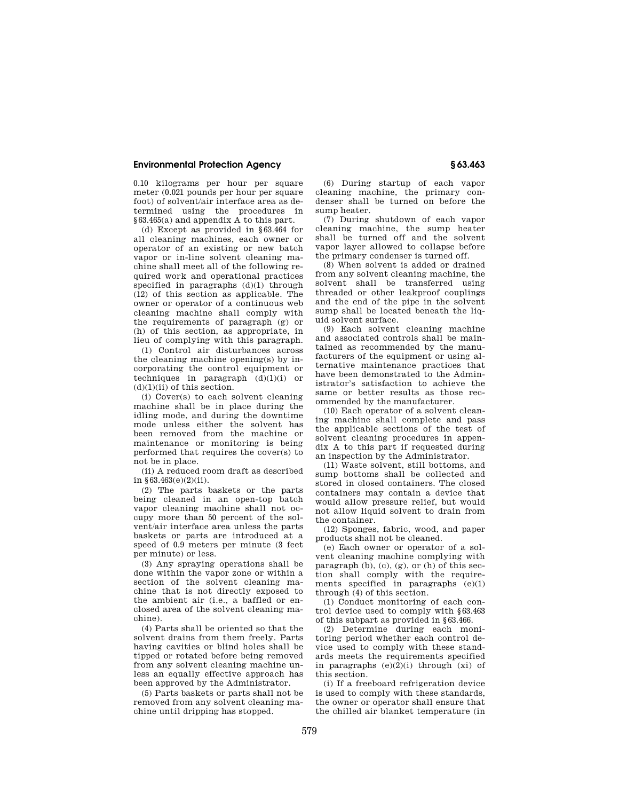0.10 kilograms per hour per square meter (0.021 pounds per hour per square foot) of solvent/air interface area as determined using the procedures in §63.465(a) and appendix A to this part.

(d) Except as provided in §63.464 for all cleaning machines, each owner or operator of an existing or new batch vapor or in-line solvent cleaning machine shall meet all of the following required work and operational practices specified in paragraphs (d)(1) through (12) of this section as applicable. The owner or operator of a continuous web cleaning machine shall comply with the requirements of paragraph (g) or (h) of this section, as appropriate, in lieu of complying with this paragraph.

(1) Control air disturbances across the cleaning machine opening(s) by incorporating the control equipment or techniques in paragraph  $(d)(1)(i)$  or  $(d)(1)(ii)$  of this section.

(i) Cover(s) to each solvent cleaning machine shall be in place during the idling mode, and during the downtime mode unless either the solvent has been removed from the machine or maintenance or monitoring is being performed that requires the cover(s) to not be in place.

(ii) A reduced room draft as described in  $§63.463(e)(2)(ii)$ .

(2) The parts baskets or the parts being cleaned in an open-top batch vapor cleaning machine shall not occupy more than 50 percent of the solvent/air interface area unless the parts baskets or parts are introduced at a speed of 0.9 meters per minute (3 feet per minute) or less.

(3) Any spraying operations shall be done within the vapor zone or within a section of the solvent cleaning machine that is not directly exposed to the ambient air (i.e., a baffled or enclosed area of the solvent cleaning machine).

(4) Parts shall be oriented so that the solvent drains from them freely. Parts having cavities or blind holes shall be tipped or rotated before being removed from any solvent cleaning machine unless an equally effective approach has been approved by the Administrator.

(5) Parts baskets or parts shall not be removed from any solvent cleaning machine until dripping has stopped.

(6) During startup of each vapor cleaning machine, the primary condenser shall be turned on before the sump heater.

(7) During shutdown of each vapor cleaning machine, the sump heater shall be turned off and the solvent vapor layer allowed to collapse before the primary condenser is turned off.

(8) When solvent is added or drained from any solvent cleaning machine, the solvent shall be transferred using threaded or other leakproof couplings and the end of the pipe in the solvent sump shall be located beneath the liquid solvent surface.

(9) Each solvent cleaning machine and associated controls shall be maintained as recommended by the manufacturers of the equipment or using alternative maintenance practices that have been demonstrated to the Administrator's satisfaction to achieve the same or better results as those recommended by the manufacturer.

(10) Each operator of a solvent cleaning machine shall complete and pass the applicable sections of the test of solvent cleaning procedures in appendix A to this part if requested during an inspection by the Administrator.

(11) Waste solvent, still bottoms, and sump bottoms shall be collected and stored in closed containers. The closed containers may contain a device that would allow pressure relief, but would not allow liquid solvent to drain from the container.

(12) Sponges, fabric, wood, and paper products shall not be cleaned.

(e) Each owner or operator of a solvent cleaning machine complying with paragraph  $(b)$ ,  $(c)$ ,  $(g)$ ,  $or$   $(h)$  of this section shall comply with the requirements specified in paragraphs (e)(1) through (4) of this section.

(1) Conduct monitoring of each control device used to comply with §63.463 of this subpart as provided in §63.466.

(2) Determine during each monitoring period whether each control device used to comply with these standards meets the requirements specified in paragraphs  $(e)(2)(i)$  through  $(xi)$  of this section.

(i) If a freeboard refrigeration device is used to comply with these standards, the owner or operator shall ensure that the chilled air blanket temperature (in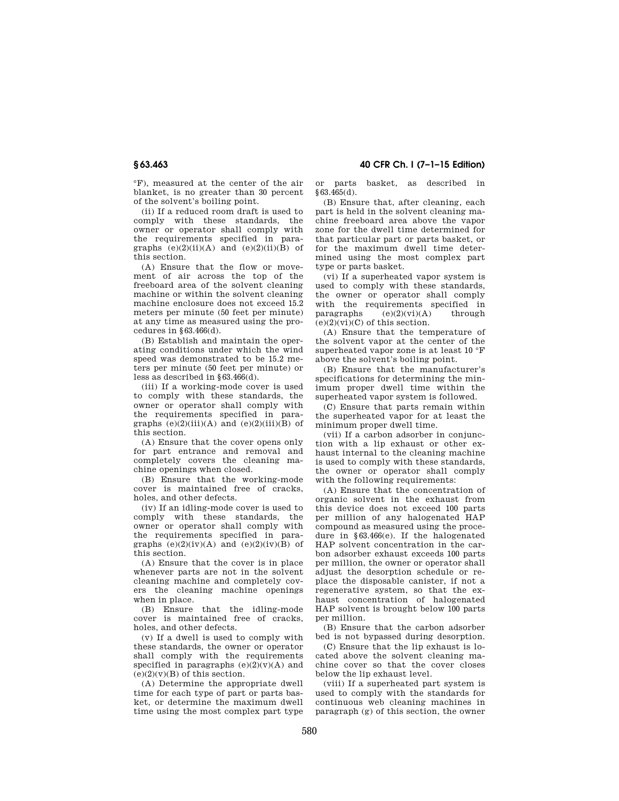°F), measured at the center of the air blanket, is no greater than 30 percent of the solvent's boiling point.

(ii) If a reduced room draft is used to comply with these standards, the owner or operator shall comply with the requirements specified in paragraphs  $(e)(2)(ii)(A)$  and  $(e)(2)(ii)(B)$  of this section.

(A) Ensure that the flow or movement of air across the top of the freeboard area of the solvent cleaning machine or within the solvent cleaning machine enclosure does not exceed 15.2 meters per minute (50 feet per minute) at any time as measured using the procedures in  $§63.466(d)$ .

(B) Establish and maintain the operating conditions under which the wind speed was demonstrated to be 15.2 meters per minute (50 feet per minute) or less as described in §63.466(d).

(iii) If a working-mode cover is used to comply with these standards, the owner or operator shall comply with the requirements specified in paragraphs  $(e)(2)(iii)(A)$  and  $(e)(2)(iii)(B)$  of this section.

(A) Ensure that the cover opens only for part entrance and removal and completely covers the cleaning machine openings when closed.

(B) Ensure that the working-mode cover is maintained free of cracks, holes, and other defects.

(iv) If an idling-mode cover is used to comply with these standards, the owner or operator shall comply with the requirements specified in paragraphs  $(e)(2)(iv)(A)$  and  $(e)(2)(iv)(B)$  of this section.

(A) Ensure that the cover is in place whenever parts are not in the solvent cleaning machine and completely covers the cleaning machine openings when in place.

(B) Ensure that the idling-mode cover is maintained free of cracks, holes, and other defects.

(v) If a dwell is used to comply with these standards, the owner or operator shall comply with the requirements specified in paragraphs  $(e)(2)(v)(A)$  and  $(e)(2)(y)(B)$  of this section.

(A) Determine the appropriate dwell time for each type of part or parts basket, or determine the maximum dwell time using the most complex part type

**§ 63.463 40 CFR Ch. I (7–1–15 Edition)** 

or parts basket, as described in §63.465(d).

(B) Ensure that, after cleaning, each part is held in the solvent cleaning machine freeboard area above the vapor zone for the dwell time determined for that particular part or parts basket, or for the maximum dwell time determined using the most complex part type or parts basket.

(vi) If a superheated vapor system is used to comply with these standards, the owner or operator shall comply with the requirements specified in paragraphs  $(e)(2)(vi)(A)$  through  $(e)(2)(vi)(C)$  of this section.

(A) Ensure that the temperature of the solvent vapor at the center of the superheated vapor zone is at least 10 °F above the solvent's boiling point.

(B) Ensure that the manufacturer's specifications for determining the minimum proper dwell time within the superheated vapor system is followed.

(C) Ensure that parts remain within the superheated vapor for at least the minimum proper dwell time.

(vii) If a carbon adsorber in conjunction with a lip exhaust or other exhaust internal to the cleaning machine is used to comply with these standards, the owner or operator shall comply with the following requirements:

(A) Ensure that the concentration of organic solvent in the exhaust from this device does not exceed 100 parts per million of any halogenated HAP compound as measured using the procedure in §63.466(e). If the halogenated HAP solvent concentration in the carbon adsorber exhaust exceeds 100 parts per million, the owner or operator shall adjust the desorption schedule or replace the disposable canister, if not a regenerative system, so that the exhaust concentration of halogenated HAP solvent is brought below 100 parts per million.

(B) Ensure that the carbon adsorber bed is not bypassed during desorption.

(C) Ensure that the lip exhaust is located above the solvent cleaning machine cover so that the cover closes below the lip exhaust level.

(viii) If a superheated part system is used to comply with the standards for continuous web cleaning machines in paragraph (g) of this section, the owner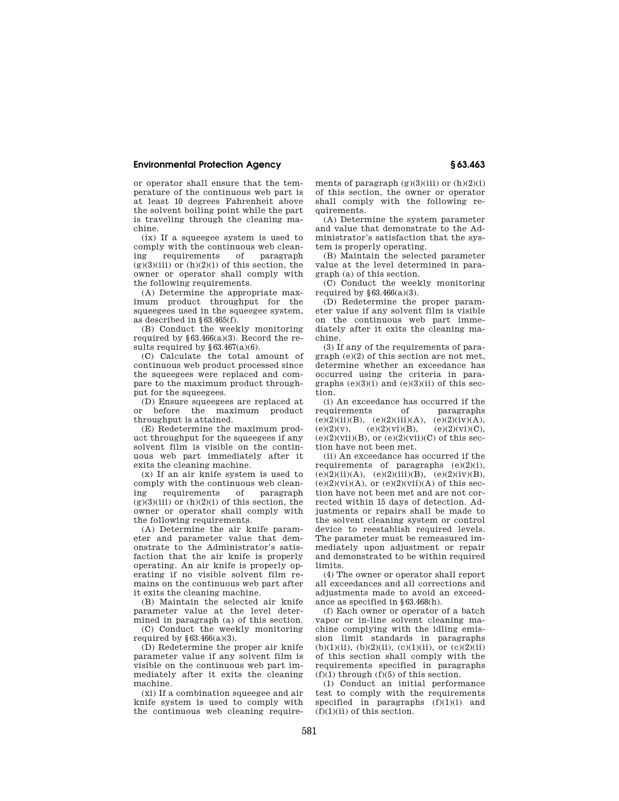or operator shall ensure that the temperature of the continuous web part is at least 10 degrees Fahrenheit above the solvent boiling point while the part is traveling through the cleaning machine.

(ix) If a squeegee system is used to comply with the continuous web clean-<br>ing requirements of paragraph ing requirements of paragraph  $(g)(3)(iii)$  or  $(h)(2)(i)$  of this section, the owner or operator shall comply with the following requirements.

(A) Determine the appropriate maximum product throughput for the squeegees used in the squeegee system, as described in §63.465(f).

(B) Conduct the weekly monitoring required by  $\S 63.466(a)(3)$ . Record the results required by  $§63.467(a)(6)$ .

(C) Calculate the total amount of continuous web product processed since the squeegees were replaced and compare to the maximum product throughput for the squeegees.

(D) Ensure squeegees are replaced at<br>r before the maximum product or before the maximum product throughput is attained.

(E) Redetermine the maximum product throughput for the squeegees if any solvent film is visible on the continuous web part immediately after it exits the cleaning machine.

(x) If an air knife system is used to comply with the continuous web clean-<br>ing requirements of paragraph ing requirements of  $(g)(3)(iii)$  or  $(h)(2)(i)$  of this section, the owner or operator shall comply with the following requirements.

(A) Determine the air knife parameter and parameter value that demonstrate to the Administrator's satisfaction that the air knife is properly operating. An air knife is properly operating if no visible solvent film remains on the continuous web part after it exits the cleaning machine.

(B) Maintain the selected air knife parameter value at the level determined in paragraph (a) of this section.

(C) Conduct the weekly monitoring required by  $§63.466(a)(3)$ .

(D) Redetermine the proper air knife parameter value if any solvent film is visible on the continuous web part immediately after it exits the cleaning machine.

(xi) If a combination squeegee and air knife system is used to comply with the continuous web cleaning requirements of paragraph  $(g)(3)(iii)$  or  $(h)(2)(i)$ of this section, the owner or operator shall comply with the following requirements.

(A) Determine the system parameter and value that demonstrate to the Administrator's satisfaction that the system is properly operating.

(B) Maintain the selected parameter value at the level determined in paragraph (a) of this section.

(C) Conduct the weekly monitoring required by  $§63.466(a)(3)$ .

(D) Redetermine the proper parameter value if any solvent film is visible on the continuous web part immediately after it exits the cleaning machine.

(3) If any of the requirements of para- $\pi$ graph (e)(2) of this section are not met determine whether an exceedance has occurred using the criteria in paragraphs  $(e)(3)(i)$  and  $(e)(3)(ii)$  of this section.

(i) An exceedance has occurred if the equirements of paragraphs requirements of paragraphs  $(e)(2)(ii)(B)$ ,  $(e)(2)(iii)(A)$ ,  $(e)(2)(iv)(A)$ ,  $(e)(2)(v),$   $(e)(2)(vi)(B),$   $(e)(2)(vi)(C),$  $(e)(2)(\n$ i)(B), or  $(e)(2)(\n$ i)(C) of this section have not been met.

(ii) An exceedance has occurred if the requirements of paragraphs  $(e)(2)(i)$ ,  $(e)(2)(ii)(A), (e)(2)(iii)(B), (e)(2)(iv)(B),$  $(e)(2)(vi)(A)$ , or  $(e)(2)(vii)(A)$  of this section have not been met and are not corrected within 15 days of detection. Adjustments or repairs shall be made to the solvent cleaning system or control device to reestablish required levels. The parameter must be remeasured immediately upon adjustment or repair and demonstrated to be within required limits.

(4) The owner or operator shall report all exceedances and all corrections and adjustments made to avoid an exceedance as specified in §63.468(h).

(f) Each owner or operator of a batch vapor or in-line solvent cleaning machine complying with the idling emission limit standards in paragraphs  $(b)(1)(ii)$ ,  $(b)(2)(ii)$ ,  $(c)(1)(ii)$ , or  $(c)(2)(ii)$ of this section shall comply with the requirements specified in paragraphs  $(f)(1)$  through  $(f)(5)$  of this section.

(1) Conduct an initial performance test to comply with the requirements specified in paragraphs  $(f)(1)(i)$  and  $(f)(1)(ii)$  of this section.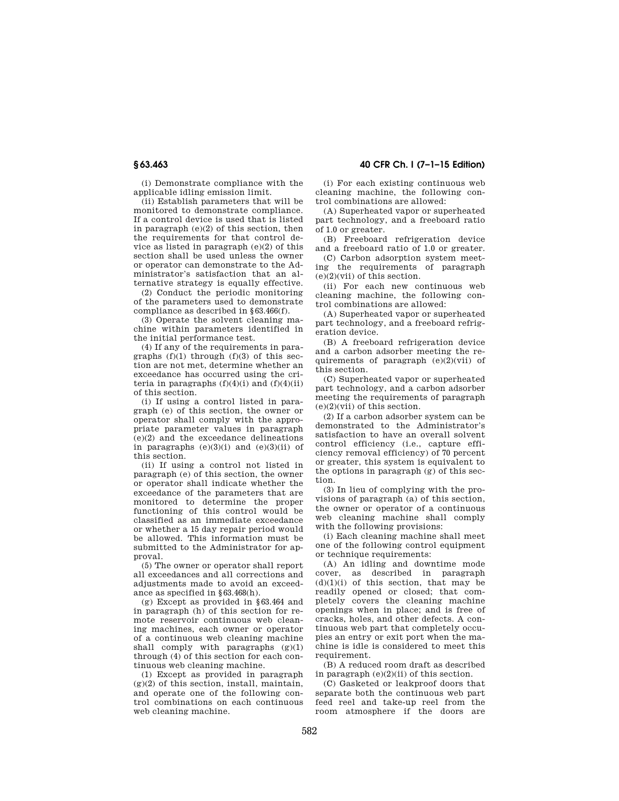(i) Demonstrate compliance with the applicable idling emission limit.

(ii) Establish parameters that will be monitored to demonstrate compliance. If a control device is used that is listed in paragraph (e)(2) of this section, then the requirements for that control device as listed in paragraph (e)(2) of this section shall be used unless the owner or operator can demonstrate to the Administrator's satisfaction that an alternative strategy is equally effective.

(2) Conduct the periodic monitoring of the parameters used to demonstrate compliance as described in §63.466(f).

(3) Operate the solvent cleaning machine within parameters identified in the initial performance test.

(4) If any of the requirements in paragraphs  $(f)(1)$  through  $(f)(3)$  of this section are not met, determine whether an exceedance has occurred using the criteria in paragraphs  $(f)(4)(i)$  and  $(f)(4)(ii)$ of this section.

(i) If using a control listed in paragraph (e) of this section, the owner or operator shall comply with the appropriate parameter values in paragraph (e)(2) and the exceedance delineations in paragraphs  $(e)(3)(i)$  and  $(e)(3)(ii)$  of this section.

(ii) If using a control not listed in paragraph (e) of this section, the owner or operator shall indicate whether the exceedance of the parameters that are monitored to determine the proper functioning of this control would be classified as an immediate exceedance or whether a 15 day repair period would be allowed. This information must be submitted to the Administrator for approval.

(5) The owner or operator shall report all exceedances and all corrections and adjustments made to avoid an exceedance as specified in §63.468(h).

(g) Except as provided in §63.464 and in paragraph (h) of this section for remote reservoir continuous web cleaning machines, each owner or operator of a continuous web cleaning machine shall comply with paragraphs  $(g)(1)$ through (4) of this section for each continuous web cleaning machine.

(1) Except as provided in paragraph  $(g)(2)$  of this section, install, maintain, and operate one of the following control combinations on each continuous web cleaning machine.

**§ 63.463 40 CFR Ch. I (7–1–15 Edition)** 

(i) For each existing continuous web cleaning machine, the following control combinations are allowed:

(A) Superheated vapor or superheated part technology, and a freeboard ratio of 1.0 or greater.

(B) Freeboard refrigeration device and a freeboard ratio of 1.0 or greater.

(C) Carbon adsorption system meeting the requirements of paragraph (e)(2)(vii) of this section.

(ii) For each new continuous web cleaning machine, the following control combinations are allowed:

(A) Superheated vapor or superheated part technology, and a freeboard refrigeration device.

(B) A freeboard refrigeration device and a carbon adsorber meeting the requirements of paragraph  $(e)(2)(vi)$  of this section.

(C) Superheated vapor or superheated part technology, and a carbon adsorber meeting the requirements of paragraph (e)(2)(vii) of this section.

(2) If a carbon adsorber system can be demonstrated to the Administrator's satisfaction to have an overall solvent control efficiency (i.e., capture efficiency removal efficiency) of 70 percent or greater, this system is equivalent to the options in paragraph (g) of this section.

(3) In lieu of complying with the provisions of paragraph (a) of this section, the owner or operator of a continuous web cleaning machine shall comply with the following provisions:

(i) Each cleaning machine shall meet one of the following control equipment or technique requirements:

(A) An idling and downtime mode cover, as described in paragraph  $(d)(1)(i)$  of this section, that may be readily opened or closed; that completely covers the cleaning machine openings when in place; and is free of cracks, holes, and other defects. A continuous web part that completely occupies an entry or exit port when the machine is idle is considered to meet this requirement.

(B) A reduced room draft as described in paragraph  $(e)(2)(ii)$  of this section.

(C) Gasketed or leakproof doors that separate both the continuous web part feed reel and take-up reel from the room atmosphere if the doors are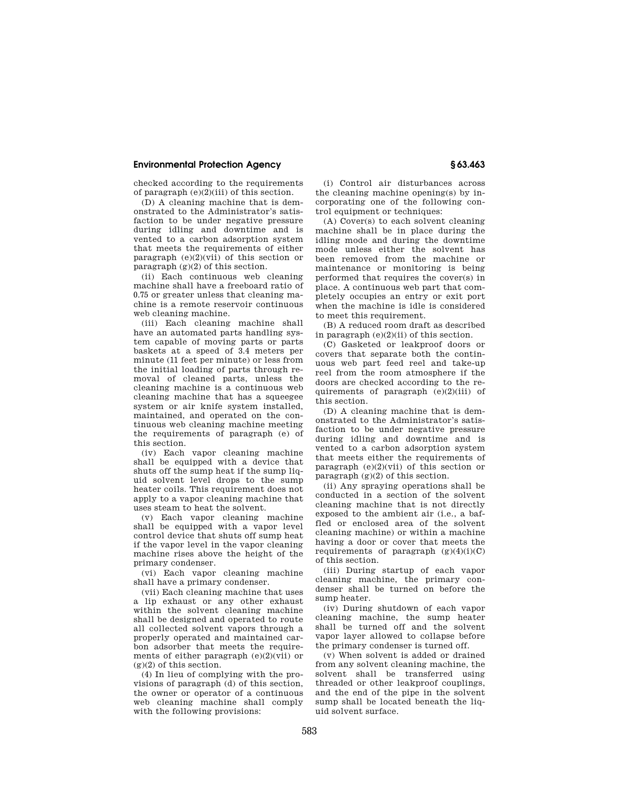checked according to the requirements of paragraph  $(e)(2)(iii)$  of this section.

(D) A cleaning machine that is demonstrated to the Administrator's satisfaction to be under negative pressure during idling and downtime and is vented to a carbon adsorption system that meets the requirements of either paragraph  $(e)(2)(vi)$  of this section or paragraph (g)(2) of this section.

(ii) Each continuous web cleaning machine shall have a freeboard ratio of 0.75 or greater unless that cleaning machine is a remote reservoir continuous web cleaning machine.

(iii) Each cleaning machine shall have an automated parts handling system capable of moving parts or parts baskets at a speed of 3.4 meters per minute (11 feet per minute) or less from the initial loading of parts through removal of cleaned parts, unless the cleaning machine is a continuous web cleaning machine that has a squeegee system or air knife system installed, maintained, and operated on the continuous web cleaning machine meeting the requirements of paragraph (e) of this section.

(iv) Each vapor cleaning machine shall be equipped with a device that shuts off the sump heat if the sump liquid solvent level drops to the sump heater coils. This requirement does not apply to a vapor cleaning machine that uses steam to heat the solvent.

(v) Each vapor cleaning machine shall be equipped with a vapor level control device that shuts off sump heat if the vapor level in the vapor cleaning machine rises above the height of the primary condenser.

(vi) Each vapor cleaning machine shall have a primary condenser.

(vii) Each cleaning machine that uses a lip exhaust or any other exhaust within the solvent cleaning machine shall be designed and operated to route all collected solvent vapors through a properly operated and maintained carbon adsorber that meets the requirements of either paragraph (e)(2)(vii) or  $(g)(2)$  of this section.

(4) In lieu of complying with the provisions of paragraph (d) of this section, the owner or operator of a continuous web cleaning machine shall comply with the following provisions:

(i) Control air disturbances across the cleaning machine opening(s) by incorporating one of the following control equipment or techniques:

(A) Cover(s) to each solvent cleaning machine shall be in place during the idling mode and during the downtime mode unless either the solvent has been removed from the machine or maintenance or monitoring is being performed that requires the cover(s) in place. A continuous web part that completely occupies an entry or exit port when the machine is idle is considered to meet this requirement.

(B) A reduced room draft as described in paragraph  $(e)(2)(ii)$  of this section.

(C) Gasketed or leakproof doors or covers that separate both the continuous web part feed reel and take-up reel from the room atmosphere if the doors are checked according to the requirements of paragraph  $(e)(2)(iii)$  of this section.

(D) A cleaning machine that is demonstrated to the Administrator's satisfaction to be under negative pressure during idling and downtime and is vented to a carbon adsorption system that meets either the requirements of paragraph  $(e)(2)(vi)$  of this section or paragraph  $(g)(2)$  of this section.

(ii) Any spraying operations shall be conducted in a section of the solvent cleaning machine that is not directly exposed to the ambient air (i.e., a baffled or enclosed area of the solvent cleaning machine) or within a machine having a door or cover that meets the requirements of paragraph  $(g)(4)(i)(C)$ of this section.

(iii) During startup of each vapor cleaning machine, the primary condenser shall be turned on before the sump heater.

(iv) During shutdown of each vapor cleaning machine, the sump heater shall be turned off and the solvent vapor layer allowed to collapse before the primary condenser is turned off.

(v) When solvent is added or drained from any solvent cleaning machine, the solvent shall be transferred using threaded or other leakproof couplings, and the end of the pipe in the solvent sump shall be located beneath the liquid solvent surface.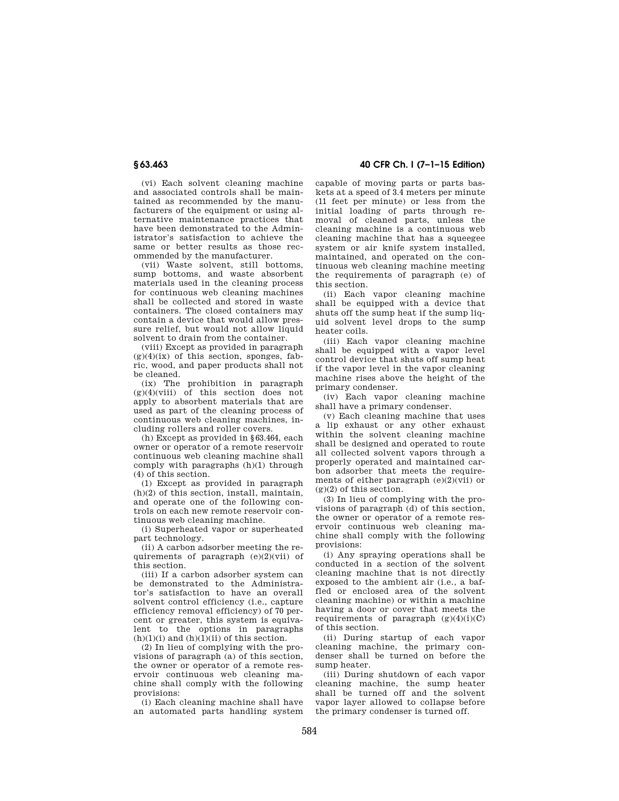(vi) Each solvent cleaning machine and associated controls shall be maintained as recommended by the manufacturers of the equipment or using alternative maintenance practices that have been demonstrated to the Administrator's satisfaction to achieve the same or better results as those recommended by the manufacturer.

(vii) Waste solvent, still bottoms, sump bottoms, and waste absorbent materials used in the cleaning process for continuous web cleaning machines shall be collected and stored in waste containers. The closed containers may contain a device that would allow pressure relief, but would not allow liquid solvent to drain from the container.

(viii) Except as provided in paragraph  $(g)(4)(ix)$  of this section, sponges, fabric, wood, and paper products shall not be cleaned.

(ix) The prohibition in paragraph  $(g)(4)(viii)$  of this section does not apply to absorbent materials that are used as part of the cleaning process of continuous web cleaning machines, including rollers and roller covers.

(h) Except as provided in §63.464, each owner or operator of a remote reservoir continuous web cleaning machine shall comply with paragraphs (h)(1) through (4) of this section.

(1) Except as provided in paragraph (h)(2) of this section, install, maintain, and operate one of the following controls on each new remote reservoir continuous web cleaning machine.

(i) Superheated vapor or superheated part technology.

(ii) A carbon adsorber meeting the requirements of paragraph  $(e)(2)(vi)$  of this section.

(iii) If a carbon adsorber system can be demonstrated to the Administrator's satisfaction to have an overall solvent control efficiency (i.e., capture efficiency removal efficiency) of 70 percent or greater, this system is equivalent to the options in paragraphs  $(h)(1)(i)$  and  $(h)(1)(ii)$  of this section.

(2) In lieu of complying with the provisions of paragraph (a) of this section, the owner or operator of a remote reservoir continuous web cleaning machine shall comply with the following provisions:

(i) Each cleaning machine shall have an automated parts handling system

**§ 63.463 40 CFR Ch. I (7–1–15 Edition)** 

capable of moving parts or parts baskets at a speed of 3.4 meters per minute (11 feet per minute) or less from the initial loading of parts through removal of cleaned parts, unless the cleaning machine is a continuous web cleaning machine that has a squeegee system or air knife system installed, maintained, and operated on the continuous web cleaning machine meeting the requirements of paragraph (e) of this section.

(ii) Each vapor cleaning machine shall be equipped with a device that shuts off the sump heat if the sump liquid solvent level drops to the sump heater coils.

(iii) Each vapor cleaning machine shall be equipped with a vapor level control device that shuts off sump heat if the vapor level in the vapor cleaning machine rises above the height of the primary condenser.

(iv) Each vapor cleaning machine shall have a primary condenser.

(v) Each cleaning machine that uses a lip exhaust or any other exhaust within the solvent cleaning machine shall be designed and operated to route all collected solvent vapors through a properly operated and maintained carbon adsorber that meets the requirements of either paragraph  $(e)(2)(vi)$  or (g)(2) of this section.

(3) In lieu of complying with the provisions of paragraph (d) of this section, the owner or operator of a remote reservoir continuous web cleaning machine shall comply with the following provisions:

(i) Any spraying operations shall be conducted in a section of the solvent cleaning machine that is not directly exposed to the ambient air (i.e., a baffled or enclosed area of the solvent cleaning machine) or within a machine having a door or cover that meets the requirements of paragraph  $(g)(4)(i)(C)$ of this section.

(ii) During startup of each vapor cleaning machine, the primary condenser shall be turned on before the sump heater.

(iii) During shutdown of each vapor cleaning machine, the sump heater shall be turned off and the solvent vapor layer allowed to collapse before the primary condenser is turned off.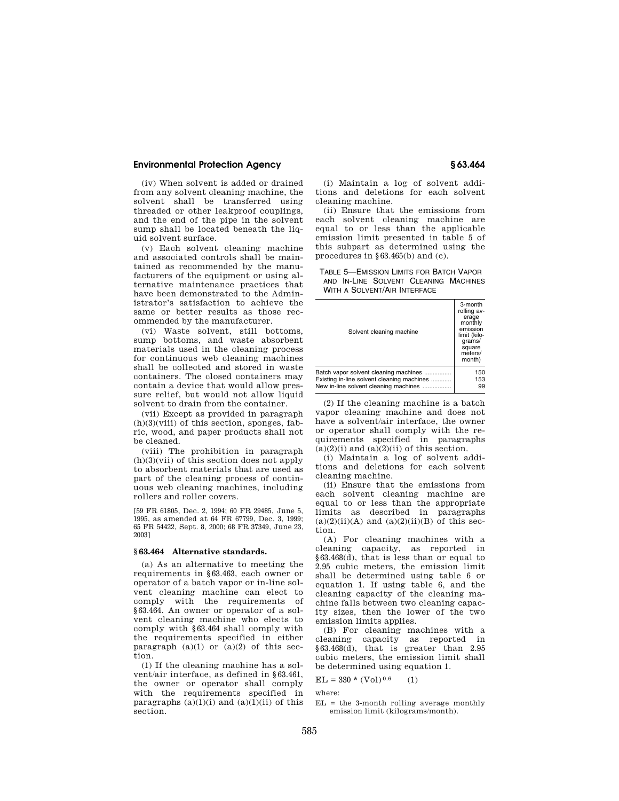(iv) When solvent is added or drained from any solvent cleaning machine, the solvent shall be transferred using threaded or other leakproof couplings, and the end of the pipe in the solvent sump shall be located beneath the liquid solvent surface.

(v) Each solvent cleaning machine and associated controls shall be maintained as recommended by the manufacturers of the equipment or using alternative maintenance practices that have been demonstrated to the Administrator's satisfaction to achieve the same or better results as those recommended by the manufacturer.

(vi) Waste solvent, still bottoms, sump bottoms, and waste absorbent materials used in the cleaning process for continuous web cleaning machines shall be collected and stored in waste containers. The closed containers may contain a device that would allow pressure relief, but would not allow liquid solvent to drain from the container.

(vii) Except as provided in paragraph  $(h)(3)($ viii) of this section, sponges, fabric, wood, and paper products shall not be cleaned.

(viii) The prohibition in paragraph (h)(3)(vii) of this section does not apply to absorbent materials that are used as part of the cleaning process of continuous web cleaning machines, including rollers and roller covers.

[59 FR 61805, Dec. 2, 1994; 60 FR 29485, June 5, 1995, as amended at 64 FR 67799, Dec. 3, 1999; 65 FR 54422, Sept. 8, 2000; 68 FR 37349, June 23, 2003]

#### **§ 63.464 Alternative standards.**

(a) As an alternative to meeting the requirements in §63.463, each owner or operator of a batch vapor or in-line solvent cleaning machine can elect to comply with the requirements of §63.464. An owner or operator of a solvent cleaning machine who elects to comply with §63.464 shall comply with the requirements specified in either paragraph  $(a)(1)$  or  $(a)(2)$  of this section.

(1) If the cleaning machine has a solvent/air interface, as defined in §63.461, the owner or operator shall comply with the requirements specified in paragraphs  $(a)(1)(i)$  and  $(a)(1)(ii)$  of this section.

(i) Maintain a log of solvent additions and deletions for each solvent cleaning machine.

(ii) Ensure that the emissions from each solvent cleaning machine are equal to or less than the applicable emission limit presented in table 5 of this subpart as determined using the procedures in §63.465(b) and (c).

TABLE 5—EMISSION LIMITS FOR BATCH VAPOR AND IN-LINE SOLVENT CLEANING MACHINES WITH A SOLVENT/AIR INTERFACE

| Solvent cleaning machine                   | 3-month<br>rolling av-<br>erage<br>monthly<br>emission<br>limit (kilo-<br>grams/<br>square<br>meters/<br>month) |
|--------------------------------------------|-----------------------------------------------------------------------------------------------------------------|
| Batch vapor solvent cleaning machines      | 150                                                                                                             |
| Existing in-line solvent cleaning machines | 153                                                                                                             |
| New in-line solvent cleaning machines      | 99                                                                                                              |

(2) If the cleaning machine is a batch vapor cleaning machine and does not have a solvent/air interface, the owner or operator shall comply with the requirements specified in paragraphs  $(a)(2)(i)$  and  $(a)(2)(ii)$  of this section.

(i) Maintain a log of solvent additions and deletions for each solvent cleaning machine.

(ii) Ensure that the emissions from each solvent cleaning machine are equal to or less than the appropriate limits as described in paragraphs  $(a)(2)(ii)(A)$  and  $(a)(2)(ii)(B)$  of this section.

(A) For cleaning machines with a cleaning capacity, as reported in §63.468(d), that is less than or equal to 2.95 cubic meters, the emission limit shall be determined using table 6 or equation 1. If using table 6, and the cleaning capacity of the cleaning machine falls between two cleaning capacity sizes, then the lower of the two emission limits applies.

(B) For cleaning machines with a cleaning capacity as reported in §63.468(d), that is greater than 2.95 cubic meters, the emission limit shall be determined using equation 1.

 $EL = 330 * (Vol)^{0.6}$  (1)

where:

 $EL = the 3-month rolling average monthly$ emission limit (kilograms/month).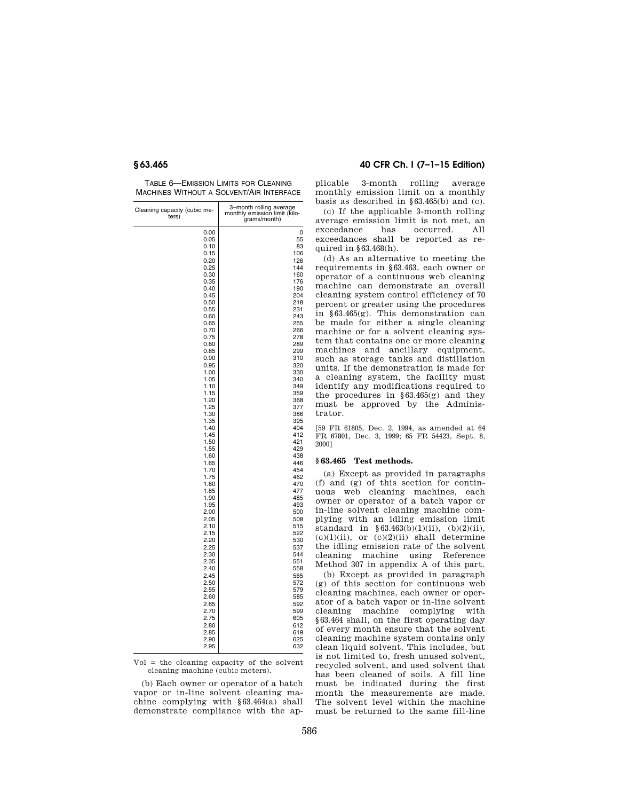TABLE 6—EMISSION LIMITS FOR CLEANING MACHINES WITHOUT A SOLVENT/AIR INTERFACE

| Cleaning capacity (cubic me-<br>ters) | 3-month rolling average<br>monthly emission limit (kilo-<br>grams/month) |
|---------------------------------------|--------------------------------------------------------------------------|
| 0.00                                  | 0                                                                        |
| 0.05                                  | 55                                                                       |
| 0.10                                  | 83                                                                       |
| 0.15                                  | 106                                                                      |
| 0.20                                  | 126                                                                      |
|                                       | 144                                                                      |
| 0.25                                  |                                                                          |
| 0.30                                  | 160                                                                      |
| 0.35                                  | 176                                                                      |
| 0.40                                  | 190                                                                      |
| 0.45                                  | 204                                                                      |
| 0.50                                  | 218                                                                      |
| 0.55                                  | 231                                                                      |
| 0.60                                  | 243                                                                      |
| 0.65                                  | 255                                                                      |
| 0.70                                  | 266                                                                      |
| 0.75                                  | 278                                                                      |
| 0.80                                  | 289                                                                      |
| 0.85                                  | 299                                                                      |
| 0.90                                  | 310                                                                      |
| 0.95                                  | 320                                                                      |
| 1.00                                  | 330                                                                      |
| 1.05                                  | 340                                                                      |
| 1.10                                  | 349                                                                      |
| 1.15                                  | 359                                                                      |
| 1.20                                  | 368                                                                      |
| 1.25                                  | 377                                                                      |
| 1.30                                  | 386                                                                      |
| 1.35                                  | 395                                                                      |
| 1.40                                  | 404                                                                      |
| 1.45                                  | 412                                                                      |
|                                       |                                                                          |
| 1.50                                  | 421                                                                      |
| 1.55                                  | 429                                                                      |
| 1.60                                  | 438                                                                      |
| 1.65                                  | 446                                                                      |
| 1.70                                  | 454                                                                      |
| 1.75                                  | 462                                                                      |
| 1.80                                  | 470                                                                      |
| 1.85                                  | 477                                                                      |
| 1.90                                  | 485                                                                      |
| 1.95                                  | 493                                                                      |
| 2.00                                  | 500                                                                      |
| 2.05                                  | 508                                                                      |
| 2.10                                  | 515                                                                      |
| 2.15                                  | 522                                                                      |
| 2.20                                  | 530                                                                      |
| 2.25                                  | 537                                                                      |
| 2.30                                  | 544                                                                      |
| 2.35                                  | 551                                                                      |
| 2.40                                  | 558                                                                      |
| 2.45                                  | 565                                                                      |
| 2.50                                  | 572                                                                      |
|                                       | 579                                                                      |
| 2.55                                  |                                                                          |
| 2.60                                  | 585                                                                      |
| 2.65                                  | 592                                                                      |
| 2.70                                  | 599                                                                      |
| 2.75                                  | 605                                                                      |
| 2.80                                  | 612                                                                      |
| 2.85                                  | 619                                                                      |
| 2.90                                  | 625                                                                      |
| 2.95                                  | 632                                                                      |

Vol = the cleaning capacity of the solvent cleaning machine (cubic meters).

(b) Each owner or operator of a batch vapor or in-line solvent cleaning machine complying with §63.464(a) shall demonstrate compliance with the ap-

### **§ 63.465 40 CFR Ch. I (7–1–15 Edition)**

plicable 3-month rolling average monthly emission limit on a monthly basis as described in §63.465(b) and (c).

(c) If the applicable 3-month rolling average emission limit is not met, an exceedance has occurred. All exceedances shall be reported as required in §63.468(h).

(d) As an alternative to meeting the requirements in §63.463, each owner or operator of a continuous web cleaning machine can demonstrate an overall cleaning system control efficiency of 70 percent or greater using the procedures in §63.465(g). This demonstration can be made for either a single cleaning machine or for a solvent cleaning system that contains one or more cleaning machines and ancillary equipment, such as storage tanks and distillation units. If the demonstration is made for a cleaning system, the facility must identify any modifications required to the procedures in  $§63.465(g)$  and they must be approved by the Administrator.

[59 FR 61805, Dec. 2, 1994, as amended at 64 FR 67801, Dec. 3, 1999; 65 FR 54423, Sept. 8, 2000]

### **§ 63.465 Test methods.**

(a) Except as provided in paragraphs (f) and (g) of this section for continuous web cleaning machines, each owner or operator of a batch vapor or in-line solvent cleaning machine complying with an idling emission limit standard in  $§63.463(b)(1)(ii)$ ,  $(b)(2)(ii)$ ,  $(c)(1)(ii)$ , or  $(c)(2)(ii)$  shall determine the idling emission rate of the solvent cleaning machine using Reference Method 307 in appendix A of this part.

(b) Except as provided in paragraph (g) of this section for continuous web cleaning machines, each owner or operator of a batch vapor or in-line solvent cleaning machine complying with §63.464 shall, on the first operating day of every month ensure that the solvent cleaning machine system contains only clean liquid solvent. This includes, but is not limited to, fresh unused solvent, recycled solvent, and used solvent that has been cleaned of soils. A fill line must be indicated during the first month the measurements are made. The solvent level within the machine must be returned to the same fill-line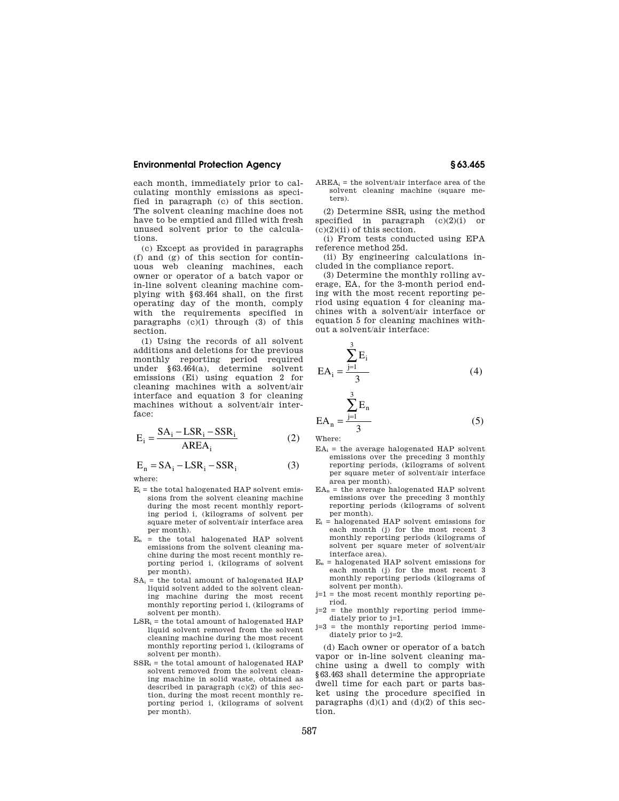each month, immediately prior to calculating monthly emissions as specified in paragraph (c) of this section. The solvent cleaning machine does not have to be emptied and filled with fresh unused solvent prior to the calculations.

(c) Except as provided in paragraphs (f) and (g) of this section for continuous web cleaning machines, each owner or operator of a batch vapor or in-line solvent cleaning machine complying with §63.464 shall, on the first operating day of the month, comply with the requirements specified in paragraphs  $(c)(1)$  through  $(3)$  of this section.

(1) Using the records of all solvent additions and deletions for the previous monthly reporting period required under §63.464(a), determine solvent emissions (Ei) using equation 2 for cleaning machines with a solvent/air interface and equation 3 for cleaning machines without a solvent/air interface:

$$
E_i = \frac{SA_i - LSR_i - SSR_i}{AREA_i}
$$
 (2)

 $E_n = SA_i - LSR_i - SSR_i$  (3) where:

- $E_i$  = the total halogenated HAP solvent emissions from the solvent cleaning machine during the most recent monthly reporting period i, (kilograms of solvent per square meter of solvent/air interface area per month).
- = the total halogenated HAP solvent emissions from the solvent cleaning machine during the most recent monthly reporting period i, (kilograms of solvent per month).
- $SA_i$  = the total amount of halogenated HAP liquid solvent added to the solvent cleaning machine during the most recent monthly reporting period i, (kilograms of solvent per month).
- $LSR_i =$  the total amount of halogenated HAP liquid solvent removed from the solvent cleaning machine during the most recent monthly reporting period i, (kilograms of solvent per month).
- $SSR_i$  = the total amount of halogenated HAP solvent removed from the solvent cleaning machine in solid waste, obtained as described in paragraph  $(c)(2)$  of this section, during the most recent monthly reporting period i, (kilograms of solvent per month).

 $AREA_i =$  the solvent/air interface area of the solvent cleaning machine (square meters).

(2) Determine  $SSR_i$  using the method specified in paragraph (c)(2)(i) or  $(c)(2)(ii)$  of this section.

(i) From tests conducted using EPA reference method 25d.

(ii) By engineering calculations included in the compliance report.

(3) Determine the monthly rolling average, EA, for the 3-month period ending with the most recent reporting period using equation 4 for cleaning machines with a solvent/air interface or equation 5 for cleaning machines without a solvent/air interface:

$$
EA_{i} = \frac{\sum_{j=1}^{3} E_{i}}{3}
$$
 (4)

$$
EA_n = \frac{\sum_{j=1}^{3} E_n}{3}
$$
 (5)

Where:

- $EA_i$  = the average halogenated HAP solvent emissions over the preceding 3 monthly reporting periods, (kilograms of solvent per square meter of solvent/air interface area per month).
- $EA_n$  = the average halogenated HAP solvent emissions over the preceding 3 monthly reporting periods (kilograms of solvent per month).
- $E_i$  = halogenated HAP solvent emissions for each month (j) for the most recent 3 monthly reporting periods (kilograms of solvent per square meter of solvent/air interface area).
- $E_n$  = halogenated HAP solvent emissions for each month (j) for the most recent 3 monthly reporting periods (kilograms of solvent per month).
- j=1 = the most recent monthly reporting period.
- j=2 = the monthly reporting period immediately prior to j=1.
- j=3 = the monthly reporting period immediately prior to j=2.

(d) Each owner or operator of a batch vapor or in-line solvent cleaning machine using a dwell to comply with §63.463 shall determine the appropriate dwell time for each part or parts basket using the procedure specified in paragraphs  $(d)(1)$  and  $(d)(2)$  of this section.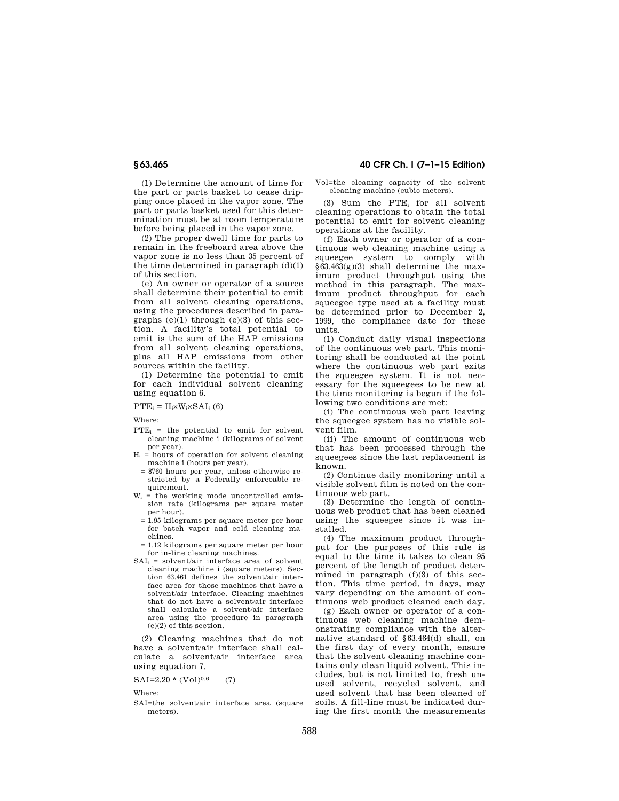(1) Determine the amount of time for the part or parts basket to cease dripping once placed in the vapor zone. The part or parts basket used for this determination must be at room temperature before being placed in the vapor zone.

(2) The proper dwell time for parts to remain in the freeboard area above the vapor zone is no less than 35 percent of the time determined in paragraph  $(d)(1)$ of this section.

(e) An owner or operator of a source shall determine their potential to emit from all solvent cleaning operations, using the procedures described in paragraphs  $(e)(1)$  through  $(e)(3)$  of this section. A facility's total potential to emit is the sum of the HAP emissions from all solvent cleaning operations, plus all HAP emissions from other sources within the facility.

(1) Determine the potential to emit for each individual solvent cleaning using equation 6.

#### $PTE_i = H_i \times W_i \times SAI_i$  (6)

Where:

- $PTE_i$  = the potential to emit for solvent cleaning machine i (kilograms of solvent per year).
- $H_i$  = hours of operation for solvent cleaning machine i (hours per year).
- = 8760 hours per year, unless otherwise restricted by a Federally enforceable requirement.
- $W_i$  = the working mode uncontrolled emission rate (kilograms per square meter per hour).
	- = 1.95 kilograms per square meter per hour for batch vapor and cold cleaning machines.
- = 1.12 kilograms per square meter per hour for in-line cleaning machines.
- $SAT<sub>i</sub>$  = solvent/air interface area of solvent cleaning machine i (square meters). Section 63.461 defines the solvent/air interface area for those machines that have a solvent/air interface. Cleaning machines that do not have a solvent/air interface shall calculate a solvent/air interface area using the procedure in paragraph (e)(2) of this section.

(2) Cleaning machines that do not have a solvent/air interface shall calculate a solvent/air interface area using equation 7.

 $SAI=2.20*(Vol)^{0.6}$  (7)

Where:

SAI=the solvent/air interface area (square meters).

### **§ 63.465 40 CFR Ch. I (7–1–15 Edition)**

Vol=the cleaning capacity of the solvent cleaning machine (cubic meters).

(3) Sum the PTE<sub>i</sub> for all solvent cleaning operations to obtain the total potential to emit for solvent cleaning operations at the facility.

(f) Each owner or operator of a continuous web cleaning machine using a squeegee system to comply with  $§63.463(g)(3)$  shall determine the maximum product throughput using the method in this paragraph. The maximum product throughput for each squeegee type used at a facility must be determined prior to December 2, 1999, the compliance date for these units.

(1) Conduct daily visual inspections of the continuous web part. This monitoring shall be conducted at the point where the continuous web part exits the squeegee system. It is not necessary for the squeegees to be new at the time monitoring is begun if the following two conditions are met:

(i) The continuous web part leaving the squeegee system has no visible solvent film.

(ii) The amount of continuous web that has been processed through the squeegees since the last replacement is known.

(2) Continue daily monitoring until a visible solvent film is noted on the continuous web part.

(3) Determine the length of continuous web product that has been cleaned using the squeegee since it was installed.

(4) The maximum product throughput for the purposes of this rule is equal to the time it takes to clean 95 percent of the length of product determined in paragraph  $(f)(3)$  of this section. This time period, in days, may vary depending on the amount of continuous web product cleaned each day.

(g) Each owner or operator of a continuous web cleaning machine demonstrating compliance with the alternative standard of §63.464(d) shall, on the first day of every month, ensure that the solvent cleaning machine contains only clean liquid solvent. This includes, but is not limited to, fresh unused solvent, recycled solvent, and used solvent that has been cleaned of soils. A fill-line must be indicated during the first month the measurements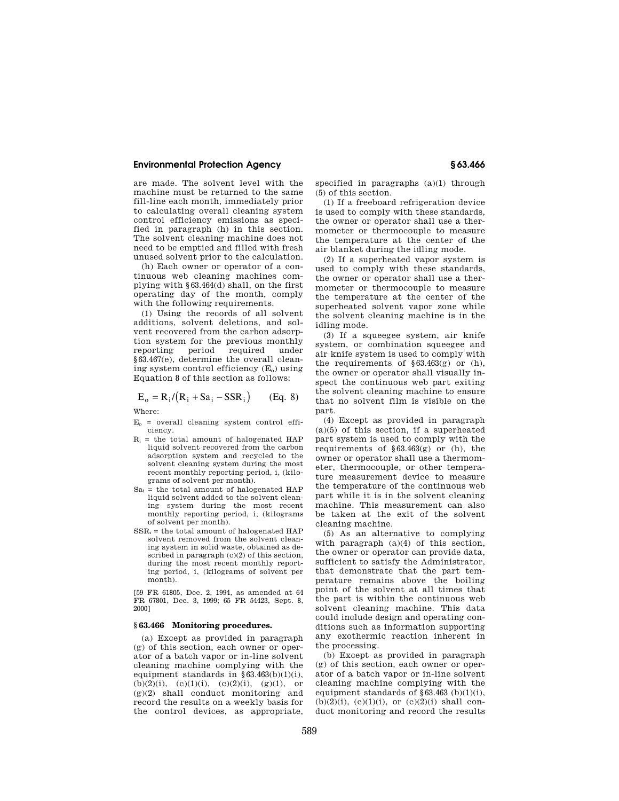are made. The solvent level with the machine must be returned to the same fill-line each month, immediately prior to calculating overall cleaning system control efficiency emissions as specified in paragraph (h) in this section. The solvent cleaning machine does not need to be emptied and filled with fresh unused solvent prior to the calculation.

(h) Each owner or operator of a continuous web cleaning machines complying with §63.464(d) shall, on the first operating day of the month, comply with the following requirements.

(1) Using the records of all solvent additions, solvent deletions, and solvent recovered from the carbon adsorption system for the previous monthly reporting period required under §63.467(e), determine the overall cleaning system control efficiency  $(E_0)$  using Equation 8 of this section as follows:

$$
E_o = R_i / (R_i + Sa_i - SSR_i)
$$
 (Eq. 8)

Where:

- $E<sub>o</sub>$  = overall cleaning system control efficiency.
- $R_i$  = the total amount of halogenated HAP liquid solvent recovered from the carbon adsorption system and recycled to the solvent cleaning system during the most recent monthly reporting period, i, (kilograms of solvent per month).
- $Sa_i$  = the total amount of halogenated HAP liquid solvent added to the solvent cleaning system during the most recent monthly reporting period, i, (kilograms of solvent per month).
- $SSR_i$  = the total amount of halogenated HAP solvent removed from the solvent cleaning system in solid waste, obtained as described in paragraph (c)(2) of this section, during the most recent monthly reporting period, i, (kilograms of solvent per month).

[59 FR 61805, Dec. 2, 1994, as amended at 64 FR 67801, Dec. 3, 1999; 65 FR 54423, Sept. 8, 2000]

#### **§ 63.466 Monitoring procedures.**

(a) Except as provided in paragraph (g) of this section, each owner or operator of a batch vapor or in-line solvent cleaning machine complying with the equipment standards in  $§ 63.463(b)(1)(i)$ ,  $(b)(2)(i)$ ,  $(c)(1)(i)$ ,  $(c)(2)(i)$ ,  $(g)(1)$ , or  $(g)(2)$  shall conduct monitoring and record the results on a weekly basis for the control devices, as appropriate,

specified in paragraphs (a)(1) through (5) of this section.

(1) If a freeboard refrigeration device is used to comply with these standards, the owner or operator shall use a thermometer or thermocouple to measure the temperature at the center of the air blanket during the idling mode.

(2) If a superheated vapor system is used to comply with these standards, the owner or operator shall use a thermometer or thermocouple to measure the temperature at the center of the superheated solvent vapor zone while the solvent cleaning machine is in the idling mode.

(3) If a squeegee system, air knife system, or combination squeegee and air knife system is used to comply with the requirements of  $$63.463(g)$  or (h), the owner or operator shall visually inspect the continuous web part exiting the solvent cleaning machine to ensure that no solvent film is visible on the part.

(4) Except as provided in paragraph  $(a)(5)$  of this section, if a superheated part system is used to comply with the requirements of  $\S 63.463(g)$  or (h), the owner or operator shall use a thermometer, thermocouple, or other temperature measurement device to measure the temperature of the continuous web part while it is in the solvent cleaning machine. This measurement can also be taken at the exit of the solvent cleaning machine.

(5) As an alternative to complying with paragraph (a)(4) of this section, the owner or operator can provide data, sufficient to satisfy the Administrator, that demonstrate that the part temperature remains above the boiling point of the solvent at all times that the part is within the continuous web solvent cleaning machine. This data could include design and operating conditions such as information supporting any exothermic reaction inherent in the processing.

(b) Except as provided in paragraph (g) of this section, each owner or operator of a batch vapor or in-line solvent cleaning machine complying with the equipment standards of  $$63.463$  (b) $(1)(i)$ .  $(b)(2)(i)$ ,  $(c)(1)(i)$ , or  $(c)(2)(i)$  shall conduct monitoring and record the results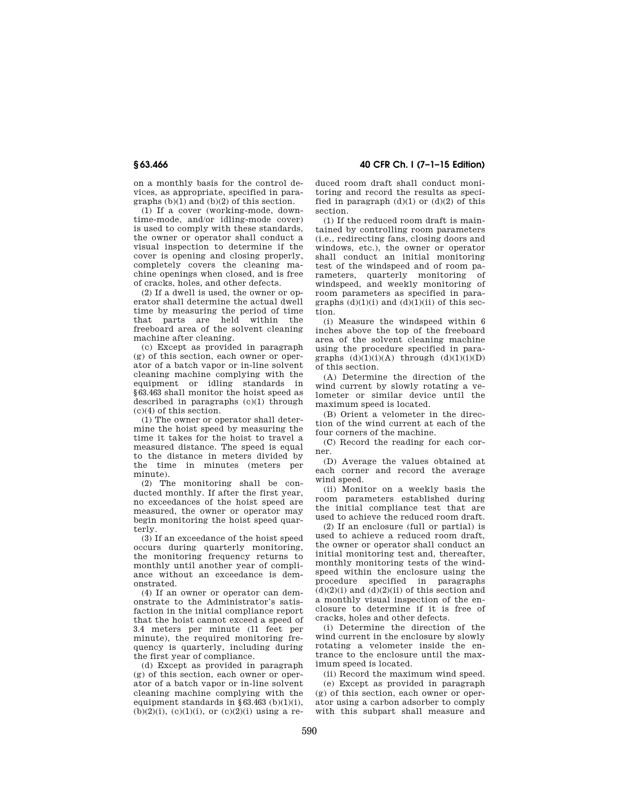on a monthly basis for the control devices, as appropriate, specified in paragraphs  $(b)(1)$  and  $(b)(2)$  of this section.

(1) If a cover (working-mode, downtime-mode, and/or idling-mode cover) is used to comply with these standards, the owner or operator shall conduct a visual inspection to determine if the cover is opening and closing properly, completely covers the cleaning machine openings when closed, and is free of cracks, holes, and other defects.

(2) If a dwell is used, the owner or operator shall determine the actual dwell time by measuring the period of time that parts are held within the freeboard area of the solvent cleaning machine after cleaning.

(c) Except as provided in paragraph (g) of this section, each owner or operator of a batch vapor or in-line solvent cleaning machine complying with the equipment or idling standards in §63.463 shall monitor the hoist speed as described in paragraphs (c)(1) through (c)(4) of this section.

(1) The owner or operator shall determine the hoist speed by measuring the time it takes for the hoist to travel a measured distance. The speed is equal to the distance in meters divided by the time in minutes (meters per minute).

(2) The monitoring shall be conducted monthly. If after the first year, no exceedances of the hoist speed are measured, the owner or operator may begin monitoring the hoist speed quarterly.

(3) If an exceedance of the hoist speed occurs during quarterly monitoring, the monitoring frequency returns to monthly until another year of compliance without an exceedance is demonstrated.

(4) If an owner or operator can demonstrate to the Administrator's satisfaction in the initial compliance report that the hoist cannot exceed a speed of 3.4 meters per minute (11 feet per minute), the required monitoring frequency is quarterly, including during the first year of compliance.

(d) Except as provided in paragraph (g) of this section, each owner or operator of a batch vapor or in-line solvent cleaning machine complying with the equipment standards in  $§ 63.463$  (b)(1)(i),  $(b)(2)(i)$ ,  $(c)(1)(i)$ , or  $(c)(2)(i)$  using a re-

**§ 63.466 40 CFR Ch. I (7–1–15 Edition)** 

duced room draft shall conduct monitoring and record the results as specified in paragraph  $(d)(1)$  or  $(d)(2)$  of this section.

(1) If the reduced room draft is maintained by controlling room parameters (i.e., redirecting fans, closing doors and windows, etc.), the owner or operator shall conduct an initial monitoring test of the windspeed and of room parameters, quarterly monitoring of windspeed, and weekly monitoring of room parameters as specified in paragraphs  $(d)(1)(i)$  and  $(d)(1)(ii)$  of this section.

(i) Measure the windspeed within 6 inches above the top of the freeboard area of the solvent cleaning machine using the procedure specified in paragraphs  $(d)(1)(i)(A)$  through  $(d)(1)(i)(D)$ of this section.

(A) Determine the direction of the wind current by slowly rotating a velometer or similar device until the maximum speed is located.

(B) Orient a velometer in the direction of the wind current at each of the four corners of the machine.

(C) Record the reading for each corner.

(D) Average the values obtained at each corner and record the average wind speed.

(ii) Monitor on a weekly basis the room parameters established during the initial compliance test that are used to achieve the reduced room draft.

(2) If an enclosure (full or partial) is used to achieve a reduced room draft, the owner or operator shall conduct an initial monitoring test and, thereafter, monthly monitoring tests of the windspeed within the enclosure using the procedure specified in paragraphs  $(d)(2)(i)$  and  $(d)(2)(ii)$  of this section and a monthly visual inspection of the enclosure to determine if it is free of cracks, holes and other defects.

(i) Determine the direction of the wind current in the enclosure by slowly rotating a velometer inside the entrance to the enclosure until the maximum speed is located.

(ii) Record the maximum wind speed.

(e) Except as provided in paragraph (g) of this section, each owner or operator using a carbon adsorber to comply with this subpart shall measure and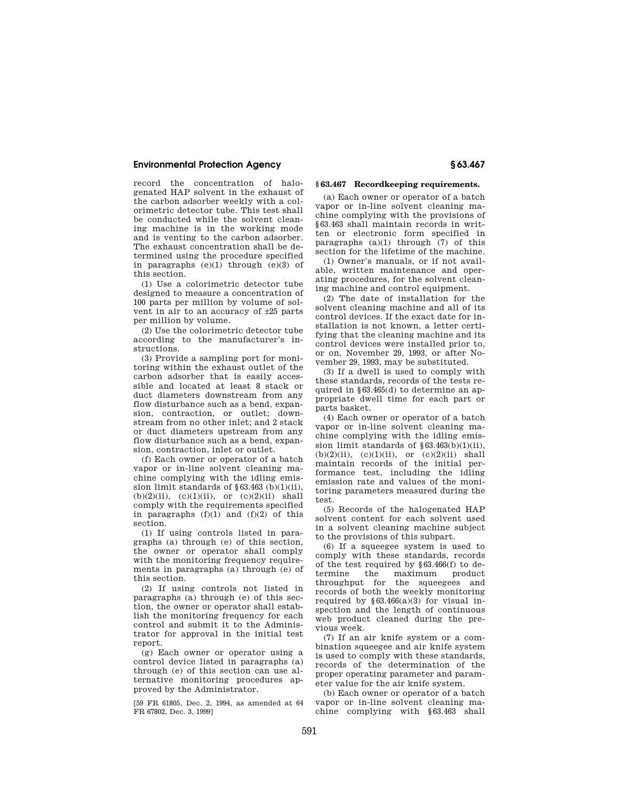record the concentration of halogenated HAP solvent in the exhaust of the carbon adsorber weekly with a colorimetric detector tube. This test shall be conducted while the solvent cleaning machine is in the working mode and is venting to the carbon adsorber. The exhaust concentration shall be determined using the procedure specified in paragraphs (e)(1) through (e)(3) of this section.

(1) Use a colorimetric detector tube designed to measure a concentration of 100 parts per million by volume of solvent in air to an accuracy of ±25 parts per million by volume.

(2) Use the colorimetric detector tube according to the manufacturer's instructions.

(3) Provide a sampling port for monitoring within the exhaust outlet of the carbon adsorber that is easily accessible and located at least 8 stack or duct diameters downstream from any flow disturbance such as a bend, expansion, contraction, or outlet; downstream from no other inlet; and 2 stack or duct diameters upstream from any flow disturbance such as a bend, expansion, contraction, inlet or outlet.

(f) Each owner or operator of a batch vapor or in-line solvent cleaning machine complying with the idling emission limit standards of  $\S 63.463$  (b)(1)(ii),  $(b)(2)(ii)$ ,  $(c)(1)(ii)$ , or  $(c)(2)(ii)$  shall comply with the requirements specified in paragraphs  $(f)(1)$  and  $(f)(2)$  of this section.

(1) If using controls listed in paragraphs (a) through (e) of this section, the owner or operator shall comply with the monitoring frequency requirements in paragraphs (a) through (e) of this section.

(2) If using controls not listed in paragraphs (a) through (e) of this section, the owner or operator shall establish the monitoring frequency for each control and submit it to the Administrator for approval in the initial test report.

(g) Each owner or operator using a control device listed in paragraphs (a) through (e) of this section can use alternative monitoring procedures approved by the Administrator.

[59 FR 61805, Dec. 2, 1994, as amended at 64 FR 67802, Dec. 3, 1999]

#### **§ 63.467 Recordkeeping requirements.**

(a) Each owner or operator of a batch vapor or in-line solvent cleaning machine complying with the provisions of §63.463 shall maintain records in written or electronic form specified in paragraphs  $(a)(1)$  through  $(7)$  of this section for the lifetime of the machine.

(1) Owner's manuals, or if not available, written maintenance and operating procedures, for the solvent cleaning machine and control equipment.

(2) The date of installation for the solvent cleaning machine and all of its control devices. If the exact date for installation is not known, a letter certifying that the cleaning machine and its control devices were installed prior to, or on, November 29, 1993, or after November 29, 1993, may be substituted.

(3) If a dwell is used to comply with these standards, records of the tests required in §63.465(d) to determine an appropriate dwell time for each part or parts basket.

(4) Each owner or operator of a batch vapor or in-line solvent cleaning machine complying with the idling emission limit standards of §63.463(b)(1)(ii),  $(b)(2)(ii)$ ,  $(c)(1)(ii)$ , or  $(c)(2)(ii)$  shall maintain records of the initial performance test, including the idling emission rate and values of the monitoring parameters measured during the test.

(5) Records of the halogenated HAP solvent content for each solvent used in a solvent cleaning machine subject to the provisions of this subpart.

(6) If a squeegee system is used to comply with these standards, records of the test required by §63.466(f) to determine the maximum product throughput for the squeegees and records of both the weekly monitoring required by  $§63.466(a)(3)$  for visual inspection and the length of continuous web product cleaned during the previous week.

(7) If an air knife system or a combination squeegee and air knife system is used to comply with these standards, records of the determination of the proper operating parameter and parameter value for the air knife system.

(b) Each owner or operator of a batch vapor or in-line solvent cleaning machine complying with §63.463 shall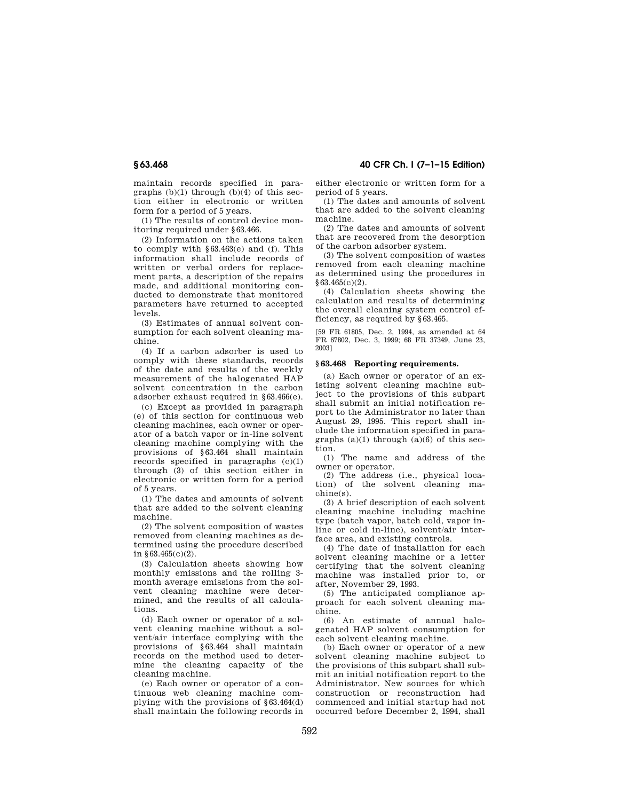maintain records specified in paragraphs  $(b)(1)$  through  $(b)(4)$  of this section either in electronic or written form for a period of 5 years.

(1) The results of control device monitoring required under §63.466.

(2) Information on the actions taken to comply with §63.463(e) and (f). This information shall include records of written or verbal orders for replacement parts, a description of the repairs made, and additional monitoring conducted to demonstrate that monitored parameters have returned to accepted levels.

(3) Estimates of annual solvent consumption for each solvent cleaning machine.

(4) If a carbon adsorber is used to comply with these standards, records of the date and results of the weekly measurement of the halogenated HAP solvent concentration in the carbon adsorber exhaust required in §63.466(e).

(c) Except as provided in paragraph (e) of this section for continuous web cleaning machines, each owner or operator of a batch vapor or in-line solvent cleaning machine complying with the provisions of §63.464 shall maintain records specified in paragraphs (c)(1) through (3) of this section either in electronic or written form for a period of 5 years.

(1) The dates and amounts of solvent that are added to the solvent cleaning machine.

(2) The solvent composition of wastes removed from cleaning machines as determined using the procedure described in §63.465(c)(2).

(3) Calculation sheets showing how monthly emissions and the rolling 3 month average emissions from the solvent cleaning machine were determined, and the results of all calculations.

(d) Each owner or operator of a solvent cleaning machine without a solvent/air interface complying with the provisions of §63.464 shall maintain records on the method used to determine the cleaning capacity of the cleaning machine.

(e) Each owner or operator of a continuous web cleaning machine complying with the provisions of §63.464(d) shall maintain the following records in

**§ 63.468 40 CFR Ch. I (7–1–15 Edition)** 

either electronic or written form for a period of 5 years.

(1) The dates and amounts of solvent that are added to the solvent cleaning machine.

(2) The dates and amounts of solvent that are recovered from the desorption of the carbon adsorber system.

(3) The solvent composition of wastes removed from each cleaning machine as determined using the procedures in §63.465(c)(2).

(4) Calculation sheets showing the calculation and results of determining the overall cleaning system control efficiency, as required by §63.465.

[59 FR 61805, Dec. 2, 1994, as amended at 64 FR 67802, Dec. 3, 1999; 68 FR 37349, June 23, 2003]

#### **§ 63.468 Reporting requirements.**

(a) Each owner or operator of an existing solvent cleaning machine subject to the provisions of this subpart shall submit an initial notification report to the Administrator no later than August 29, 1995. This report shall include the information specified in paragraphs  $(a)(1)$  through  $(a)(6)$  of this section.

(1) The name and address of the owner or operator.

(2) The address (i.e., physical location) of the solvent cleaning machine(s).

(3) A brief description of each solvent cleaning machine including machine type (batch vapor, batch cold, vapor inline or cold in-line), solvent/air interface area, and existing controls.

(4) The date of installation for each solvent cleaning machine or a letter certifying that the solvent cleaning machine was installed prior to, or after, November 29, 1993.

(5) The anticipated compliance approach for each solvent cleaning machine.

(6) An estimate of annual halogenated HAP solvent consumption for each solvent cleaning machine.

(b) Each owner or operator of a new solvent cleaning machine subject to the provisions of this subpart shall submit an initial notification report to the Administrator. New sources for which construction or reconstruction had commenced and initial startup had not occurred before December 2, 1994, shall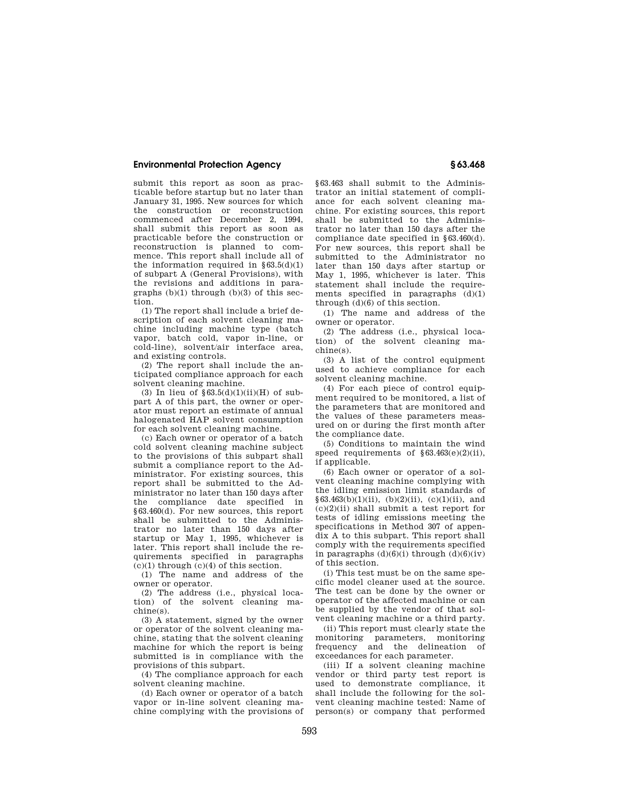submit this report as soon as practicable before startup but no later than January 31, 1995. New sources for which the construction or reconstruction commenced after December 2, 1994, shall submit this report as soon as practicable before the construction or reconstruction is planned to commence. This report shall include all of the information required in  $$63.5(d)(1)$ of subpart A (General Provisions), with the revisions and additions in paragraphs (b)(1) through (b)(3) of this section.

(1) The report shall include a brief description of each solvent cleaning machine including machine type (batch vapor, batch cold, vapor in-line, or cold-line), solvent/air interface area, and existing controls.

(2) The report shall include the anticipated compliance approach for each solvent cleaning machine.

(3) In lieu of  $$63.5(d)(1)(ii)(H)$  of subpart A of this part, the owner or operator must report an estimate of annual halogenated HAP solvent consumption for each solvent cleaning machine.

(c) Each owner or operator of a batch cold solvent cleaning machine subject to the provisions of this subpart shall submit a compliance report to the Administrator. For existing sources, this report shall be submitted to the Administrator no later than 150 days after the compliance date specified in §63.460(d). For new sources, this report shall be submitted to the Administrator no later than 150 days after startup or May 1, 1995, whichever is later. This report shall include the requirements specified in paragraphs  $(c)(1)$  through  $(c)(4)$  of this section.

(1) The name and address of the owner or operator.

(2) The address (i.e., physical location) of the solvent cleaning machine(s).

(3) A statement, signed by the owner or operator of the solvent cleaning machine, stating that the solvent cleaning machine for which the report is being submitted is in compliance with the provisions of this subpart.

(4) The compliance approach for each solvent cleaning machine.

(d) Each owner or operator of a batch vapor or in-line solvent cleaning machine complying with the provisions of

§63.463 shall submit to the Administrator an initial statement of compliance for each solvent cleaning machine. For existing sources, this report shall be submitted to the Administrator no later than 150 days after the compliance date specified in §63.460(d). For new sources, this report shall be submitted to the Administrator no later than 150 days after startup or May 1, 1995, whichever is later. This statement shall include the requirements specified in paragraphs  $(d)(1)$ through (d)(6) of this section.

(1) The name and address of the owner or operator.

(2) The address (i.e., physical location) of the solvent cleaning machine(s).

(3) A list of the control equipment used to achieve compliance for each solvent cleaning machine.

(4) For each piece of control equipment required to be monitored, a list of the parameters that are monitored and the values of these parameters measured on or during the first month after the compliance date.

(5) Conditions to maintain the wind speed requirements of  $§63.463(e)(2)(ii)$ , if applicable.

(6) Each owner or operator of a solvent cleaning machine complying with the idling emission limit standards of  $§63.463(b)(1)(ii), (b)(2)(ii), (c)(1)(ii), and$  $(c)(2)(ii)$  shall submit a test report for tests of idling emissions meeting the specifications in Method 307 of appendix A to this subpart. This report shall comply with the requirements specified in paragraphs  $(d)(6)(i)$  through  $(d)(6)(iv)$ of this section.

(i) This test must be on the same specific model cleaner used at the source. The test can be done by the owner or operator of the affected machine or can be supplied by the vendor of that solvent cleaning machine or a third party.

(ii) This report must clearly state the monitoring parameters, monitoring frequency and the delineation of exceedances for each parameter.

(iii) If a solvent cleaning machine vendor or third party test report is used to demonstrate compliance, it shall include the following for the solvent cleaning machine tested: Name of person(s) or company that performed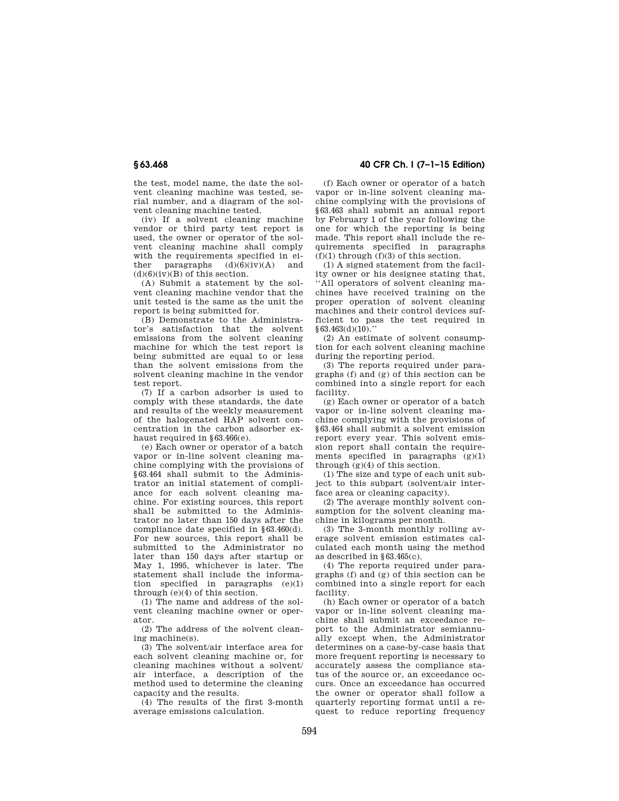the test, model name, the date the solvent cleaning machine was tested, serial number, and a diagram of the solvent cleaning machine tested.

(iv) If a solvent cleaning machine vendor or third party test report is used, the owner or operator of the solvent cleaning machine shall comply with the requirements specified in ei-<br>ther paragraphs  $(d)(6)(iv)(A)$  and paragraphs  $(d)(\overline{6})(iv)(A)$  $(d)(6)(iv)(B)$  of this section.

(A) Submit a statement by the solvent cleaning machine vendor that the unit tested is the same as the unit the report is being submitted for.

(B) Demonstrate to the Administrator's satisfaction that the solvent emissions from the solvent cleaning machine for which the test report is being submitted are equal to or less than the solvent emissions from the solvent cleaning machine in the vendor test report.

(7) If a carbon adsorber is used to comply with these standards, the date and results of the weekly measurement of the halogenated HAP solvent concentration in the carbon adsorber exhaust required in §63.466(e).

(e) Each owner or operator of a batch vapor or in-line solvent cleaning machine complying with the provisions of §63.464 shall submit to the Administrator an initial statement of compliance for each solvent cleaning machine. For existing sources, this report shall be submitted to the Administrator no later than 150 days after the compliance date specified in §63.460(d). For new sources, this report shall be submitted to the Administrator no later than 150 days after startup or May 1, 1995, whichever is later. The statement shall include the information specified in paragraphs (e)(1) through (e)(4) of this section.

(1) The name and address of the solvent cleaning machine owner or operator.

(2) The address of the solvent cleaning machine(s).

(3) The solvent/air interface area for each solvent cleaning machine or, for cleaning machines without a solvent/ air interface, a description of the method used to determine the cleaning capacity and the results.

(4) The results of the first 3-month average emissions calculation.

### **§ 63.468 40 CFR Ch. I (7–1–15 Edition)**

(f) Each owner or operator of a batch vapor or in-line solvent cleaning machine complying with the provisions of §63.463 shall submit an annual report by February 1 of the year following the one for which the reporting is being made. This report shall include the requirements specified in paragraphs  $(f)(1)$  through  $(f)(3)$  of this section.

(1) A signed statement from the facility owner or his designee stating that, ''All operators of solvent cleaning machines have received training on the proper operation of solvent cleaning machines and their control devices sufficient to pass the test required in  $§63.463(d)(10)$ ."

(2) An estimate of solvent consumption for each solvent cleaning machine during the reporting period.

(3) The reports required under paragraphs (f) and (g) of this section can be combined into a single report for each facility.

(g) Each owner or operator of a batch vapor or in-line solvent cleaning machine complying with the provisions of §63.464 shall submit a solvent emission report every year. This solvent emission report shall contain the requirements specified in paragraphs (g)(1) through  $(g)(4)$  of this section.

(1) The size and type of each unit subject to this subpart (solvent/air interface area or cleaning capacity).

(2) The average monthly solvent consumption for the solvent cleaning machine in kilograms per month.

(3) The 3-month monthly rolling average solvent emission estimates calculated each month using the method as described in  $$63,465(c)$ .

(4) The reports required under paragraphs (f) and (g) of this section can be combined into a single report for each facility.

(h) Each owner or operator of a batch vapor or in-line solvent cleaning machine shall submit an exceedance report to the Administrator semiannually except when, the Administrator determines on a case-by-case basis that more frequent reporting is necessary to accurately assess the compliance status of the source or, an exceedance occurs. Once an exceedance has occurred the owner or operator shall follow a quarterly reporting format until a request to reduce reporting frequency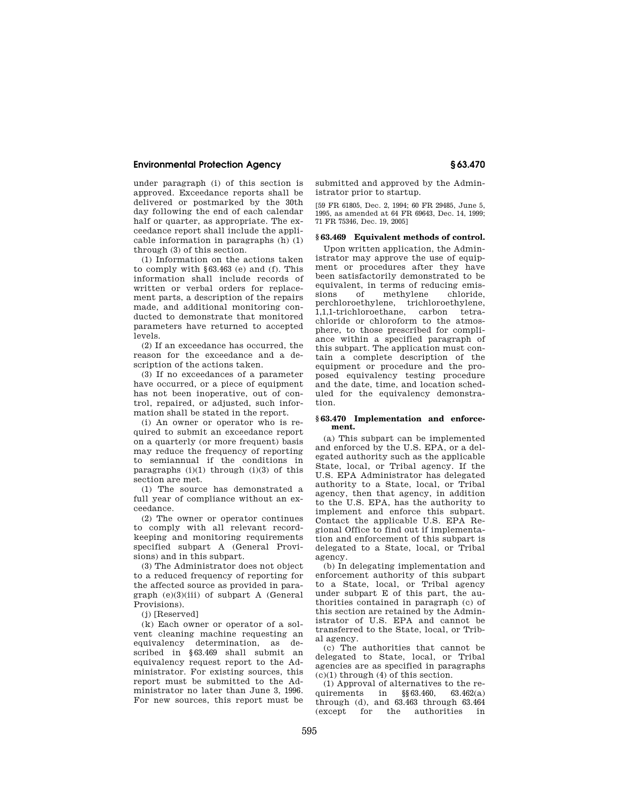under paragraph (i) of this section is approved. Exceedance reports shall be delivered or postmarked by the 30th day following the end of each calendar half or quarter, as appropriate. The exceedance report shall include the applicable information in paragraphs (h) (1) through (3) of this section.

(1) Information on the actions taken to comply with §63.463 (e) and (f). This information shall include records of written or verbal orders for replacement parts, a description of the repairs made, and additional monitoring conducted to demonstrate that monitored parameters have returned to accepted levels.

(2) If an exceedance has occurred, the reason for the exceedance and a description of the actions taken.

(3) If no exceedances of a parameter have occurred, or a piece of equipment has not been inoperative, out of control, repaired, or adjusted, such information shall be stated in the report.

(i) An owner or operator who is required to submit an exceedance report on a quarterly (or more frequent) basis may reduce the frequency of reporting to semiannual if the conditions in paragraphs  $(i)(1)$  through  $(i)(3)$  of this section are met.

(1) The source has demonstrated a full year of compliance without an exceedance.

(2) The owner or operator continues to comply with all relevant recordkeeping and monitoring requirements specified subpart A (General Provisions) and in this subpart.

(3) The Administrator does not object to a reduced frequency of reporting for the affected source as provided in paragraph (e)(3)(iii) of subpart A (General Provisions).

(j) [Reserved]

(k) Each owner or operator of a solvent cleaning machine requesting an equivalency determination, as described in §63.469 shall submit an equivalency request report to the Administrator. For existing sources, this report must be submitted to the Administrator no later than June 3, 1996. For new sources, this report must be submitted and approved by the Administrator prior to startup.

[59 FR 61805, Dec. 2, 1994; 60 FR 29485, June 5, 1995, as amended at 64 FR 69643, Dec. 14, 1999; 71 FR 75346, Dec. 19, 2005]

#### **§ 63.469 Equivalent methods of control.**

Upon written application, the Administrator may approve the use of equipment or procedures after they have been satisfactorily demonstrated to be equivalent, in terms of reducing emis-<br>sions of methylene chloride, methylene perchloroethylene, trichloroethylene, 1,1,1-trichloroethane, carbon tetrachloride or chloroform to the atmosphere, to those prescribed for compliance within a specified paragraph of this subpart. The application must contain a complete description of the equipment or procedure and the proposed equivalency testing procedure and the date, time, and location scheduled for the equivalency demonstration.

#### **§ 63.470 Implementation and enforcement.**

(a) This subpart can be implemented and enforced by the U.S. EPA, or a delegated authority such as the applicable State, local, or Tribal agency. If the U.S. EPA Administrator has delegated authority to a State, local, or Tribal agency, then that agency, in addition to the U.S. EPA, has the authority to implement and enforce this subpart. Contact the applicable U.S. EPA Regional Office to find out if implementation and enforcement of this subpart is delegated to a State, local, or Tribal agency.

(b) In delegating implementation and enforcement authority of this subpart to a State, local, or Tribal agency under subpart E of this part, the authorities contained in paragraph (c) of this section are retained by the Administrator of U.S. EPA and cannot be transferred to the State, local, or Tribal agency.

(c) The authorities that cannot be delegated to State, local, or Tribal agencies are as specified in paragraphs  $(c)(1)$  through  $(4)$  of this section.

(1) Approval of alternatives to the requirements in §§63.460, 63.462(a) through (d), and  $63.463$  through  $63.464$ <br>(except for the authorities in (except for the authorities in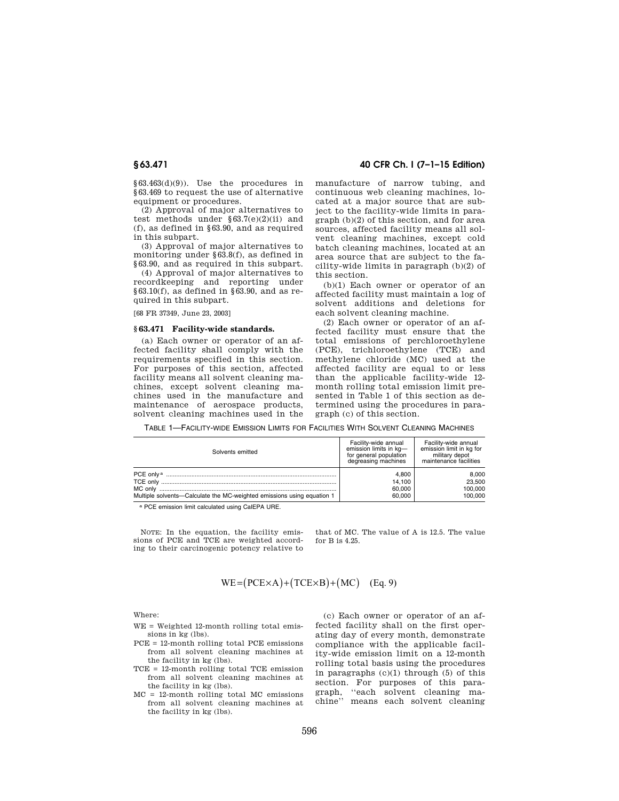§63.463(d)(9)). Use the procedures in §63.469 to request the use of alternative equipment or procedures.

(2) Approval of major alternatives to test methods under  $§63.7(e)(2)(ii)$  and (f), as defined in §63.90, and as required in this subpart.

(3) Approval of major alternatives to monitoring under §63.8(f), as defined in §63.90, and as required in this subpart.

(4) Approval of major alternatives to recordkeeping and reporting under  $§63.10(f)$ , as defined in §63.90, and as required in this subpart.

[68 FR 37349, June 23, 2003]

#### **§ 63.471 Facility-wide standards.**

(a) Each owner or operator of an affected facility shall comply with the requirements specified in this section. For purposes of this section, affected facility means all solvent cleaning machines, except solvent cleaning machines used in the manufacture and maintenance of aerospace products, solvent cleaning machines used in the

#### **§ 63.471 40 CFR Ch. I (7–1–15 Edition)**

manufacture of narrow tubing, and continuous web cleaning machines, located at a major source that are subject to the facility-wide limits in paragraph (b)(2) of this section, and for area sources, affected facility means all solvent cleaning machines, except cold batch cleaning machines, located at an area source that are subject to the facility-wide limits in paragraph (b)(2) of this section.

(b)(1) Each owner or operator of an affected facility must maintain a log of solvent additions and deletions for each solvent cleaning machine.

(2) Each owner or operator of an affected facility must ensure that the total emissions of perchloroethylene (PCE), trichloroethylene (TCE) and methylene chloride (MC) used at the affected facility are equal to or less than the applicable facility-wide 12 month rolling total emission limit presented in Table 1 of this section as determined using the procedures in paragraph (c) of this section.

TABLE 1—FACILITY-WIDE EMISSION LIMITS FOR FACILITIES WITH SOLVENT CLEANING MACHINES

| Solvents emitted                                                       | Facility-wide annual<br>emission limits in kg-<br>for general population<br>degreasing machines | Facility-wide annual<br>emission limit in kg for<br>military depot<br>maintenance facilities |
|------------------------------------------------------------------------|-------------------------------------------------------------------------------------------------|----------------------------------------------------------------------------------------------|
|                                                                        | 4.800                                                                                           | 8.000                                                                                        |
|                                                                        | 14.100                                                                                          | 23.500                                                                                       |
|                                                                        | 60.000                                                                                          | 100,000                                                                                      |
| Multiple solvents-Calculate the MC-weighted emissions using equation 1 | 60.000                                                                                          | 100.000                                                                                      |

a PCE emission limit calculated using CalEPA URE.

NOTE: In the equation, the facility emissions of PCE and TCE are weighted according to their carcinogenic potency relative to that of MC. The value of A is 12.5. The value for  $R$  is  $4.25$ .

$$
WE = (PCE \times A) + (TCE \times B) + (MC) \quad (Eq. 9)
$$

Where:

- WE = Weighted 12-month rolling total emissions in kg (lbs).
- PCE = 12-month rolling total PCE emissions from all solvent cleaning machines at the facility in kg (lbs).
- TCE = 12-month rolling total TCE emission from all solvent cleaning machines at the facility in kg (lbs).
- MC = 12-month rolling total MC emissions from all solvent cleaning machines at the facility in kg (lbs).

(c) Each owner or operator of an affected facility shall on the first operating day of every month, demonstrate compliance with the applicable facility-wide emission limit on a 12-month rolling total basis using the procedures in paragraphs  $(c)(1)$  through  $(5)$  of this section. For purposes of this paragraph, ''each solvent cleaning machine'' means each solvent cleaning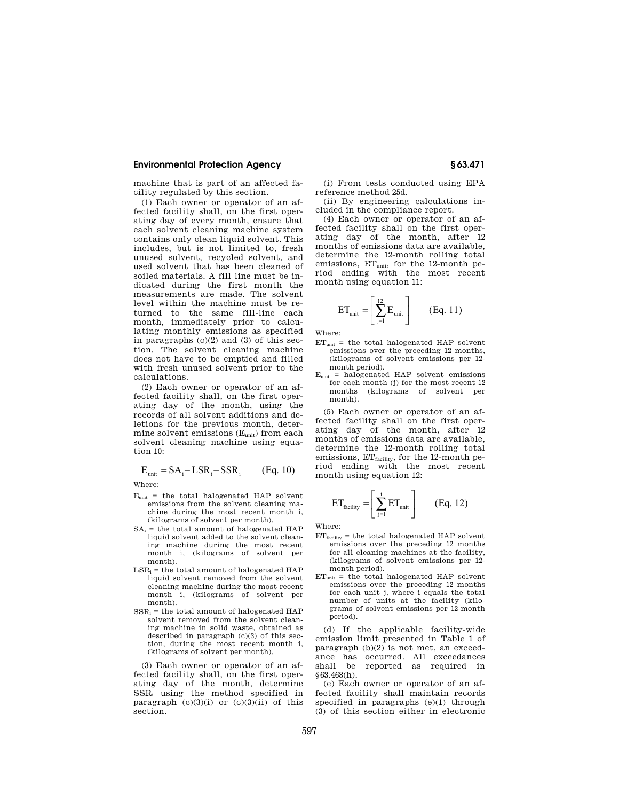machine that is part of an affected facility regulated by this section.

(1) Each owner or operator of an affected facility shall, on the first operating day of every month, ensure that each solvent cleaning machine system contains only clean liquid solvent. This includes, but is not limited to, fresh unused solvent, recycled solvent, and used solvent that has been cleaned of soiled materials. A fill line must be indicated during the first month the measurements are made. The solvent level within the machine must be returned to the same fill-line each month, immediately prior to calculating monthly emissions as specified in paragraphs (c)(2) and (3) of this section. The solvent cleaning machine does not have to be emptied and filled with fresh unused solvent prior to the calculations.

(2) Each owner or operator of an affected facility shall, on the first operating day of the month, using the records of all solvent additions and deletions for the previous month, determine solvent emissions  $(\mathbf{E}_{\text{unit}})$  from each solvent cleaning machine using equation 10:

$$
E_{unit} = SA_i - LSR_i - SSR_i
$$
 (Eq. 10)

Where:

- $E<sub>unit</sub>$  = the total halogenated HAP solvent emissions from the solvent cleaning machine during the most recent month i, (kilograms of solvent per month).
- $SA_i$  = the total amount of halogenated HAP liquid solvent added to the solvent cleaning machine during the most recent month i, (kilograms of solvent per month).
- $LSR_i =$  the total amount of halogenated HAP liquid solvent removed from the solvent cleaning machine during the most recent month i, (kilograms of solvent per month).
- $SSR_i =$  the total amount of halogenated HAP solvent removed from the solvent cleaning machine in solid waste, obtained as described in paragraph (c)(3) of this section, during the most recent month i, (kilograms of solvent per month).

(3) Each owner or operator of an affected facility shall, on the first operating day of the month, determine SSR<sup>i</sup> using the method specified in paragraph  $(c)(3)(i)$  or  $(c)(3)(ii)$  of this section.

(i) From tests conducted using EPA reference method 25d.

(ii) By engineering calculations included in the compliance report.

(4) Each owner or operator of an affected facility shall on the first operating day of the month, after 12 months of emissions data are available, determine the 12-month rolling total emissions, ET<sub>unit</sub>, for the 12-month period ending with the most recent month using equation 11:

$$
ET_{unit} = \left[\sum_{j=1}^{12} E_{unit}\right] \qquad (Eq. 11)
$$

Where:

- $ET<sub>unit</sub>$  = the total halogenated HAP solvent emissions over the preceding 12 months, (kilograms of solvent emissions per 12 month period).
- $E<sub>unit</sub>$  = halogenated HAP solvent emissions for each month (j) for the most recent 12 months (kilograms of solvent per month).

(5) Each owner or operator of an affected facility shall on the first operating day of the month, after 12 months of emissions data are available, determine the 12-month rolling total emissions,  $ET_{\rm facility}$ , for the 12-month period ending with the most recent month using equation 12:

$$
ET_{\text{facility}} = \left[\sum_{j=1}^{i} ET_{\text{unit}}\right] \qquad (Eq. 12)
$$

Where:

- $ET_{\text{facility}}$  = the total halogenated HAP solvent emissions over the preceding 12 months for all cleaning machines at the facility, (kilograms of solvent emissions per 12 month period).
- $ET<sub>unit</sub>$  = the total halogenated HAP solvent emissions over the preceding 12 months for each unit j, where i equals the total number of units at the facility (kilograms of solvent emissions per 12-month period).

(d) If the applicable facility-wide emission limit presented in Table 1 of paragraph (b)(2) is not met, an exceedance has occurred. All exceedances shall be reported as required in §63.468(h).

(e) Each owner or operator of an affected facility shall maintain records specified in paragraphs (e)(1) through (3) of this section either in electronic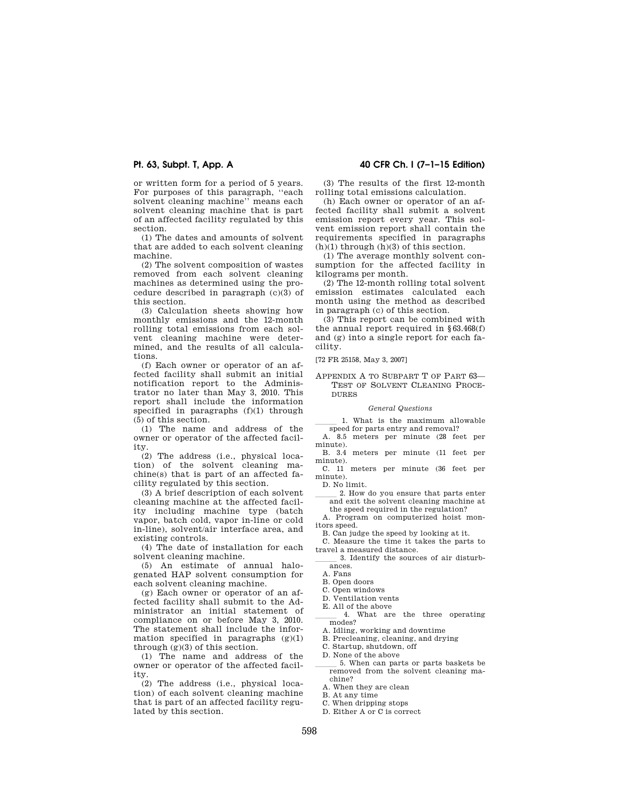or written form for a period of 5 years. For purposes of this paragraph, ''each solvent cleaning machine'' means each solvent cleaning machine that is part of an affected facility regulated by this section.

(1) The dates and amounts of solvent that are added to each solvent cleaning machine.

(2) The solvent composition of wastes removed from each solvent cleaning machines as determined using the procedure described in paragraph (c)(3) of this section.

(3) Calculation sheets showing how monthly emissions and the 12-month rolling total emissions from each solvent cleaning machine were determined, and the results of all calculations.

(f) Each owner or operator of an affected facility shall submit an initial notification report to the Administrator no later than May 3, 2010. This report shall include the information specified in paragraphs (f)(1) through (5) of this section.

(1) The name and address of the owner or operator of the affected facility.

(2) The address (i.e., physical location) of the solvent cleaning machine(s) that is part of an affected facility regulated by this section.

(3) A brief description of each solvent cleaning machine at the affected facility including machine type (batch vapor, batch cold, vapor in-line or cold in-line), solvent/air interface area, and existing controls.

(4) The date of installation for each solvent cleaning machine.

(5) An estimate of annual halogenated HAP solvent consumption for each solvent cleaning machine.

(g) Each owner or operator of an affected facility shall submit to the Administrator an initial statement of compliance on or before May 3, 2010. The statement shall include the information specified in paragraphs  $(g)(1)$ through (g)(3) of this section.

(1) The name and address of the owner or operator of the affected facility.

(2) The address (i.e., physical location) of each solvent cleaning machine that is part of an affected facility regulated by this section.

#### **Pt. 63, Subpt. T, App. A 40 CFR Ch. I (7–1–15 Edition)**

(3) The results of the first 12-month rolling total emissions calculation.

(h) Each owner or operator of an affected facility shall submit a solvent emission report every year. This solvent emission report shall contain the requirements specified in paragraphs  $(h)(1)$  through  $(h)(3)$  of this section.

(1) The average monthly solvent consumption for the affected facility in kilograms per month.

(2) The 12-month rolling total solvent emission estimates calculated each month using the method as described in paragraph (c) of this section.

(3) This report can be combined with the annual report required in §63.468(f) and (g) into a single report for each facility.

[72 FR 25158, May 3, 2007]

APPENDIX A TO SUBPART T OF PART 63— TEST OF SOLVENT CLEANING PROCE-DURES

#### *General Questions*

1. What is the maximum allowable speed for parts entry and removal?

A. 8.5 meters per minute (28 feet per minute).

B. 3.4 meters per minute (11 feet per minute).

C. 11 meters per minute (36 feet per minute).

D. No limit.

2. How do you ensure that parts enter and exit the solvent cleaning machine at the speed required in the regulation?

A. Program on computerized hoist monitors speed.

B. Can judge the speed by looking at it. C. Measure the time it takes the parts to

travel a measured distance. 3. Identify the sources of air disturbances.

A. Fans

B. Open doors

- C. Open windows
- D. Ventilation vents

E. All of the above

4. What are the three operating modes?

A. Idling, working and downtime

B. Precleaning, cleaning, and drying

C. Startup, shutdown, off

D. None of the above

5. When can parts or parts baskets be removed from the solvent cleaning machine?

A. When they are clean

B. At any time

C. When dripping stops

D. Either A or C is correct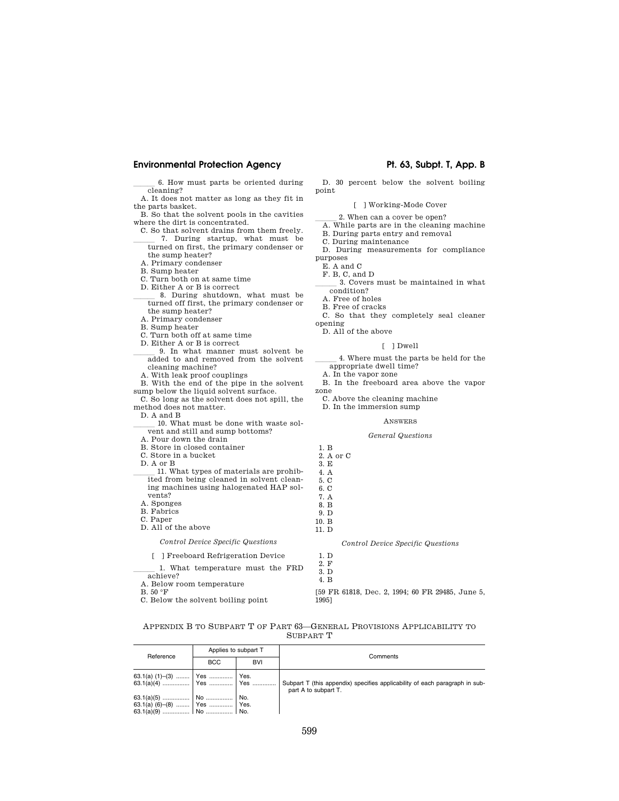#### **Environmental Protection Agency Pt. 63, Subpt. T, App. B**

6. How must parts be oriented during cleaning?

A. It does not matter as long as they fit in the parts basket.

- B. So that the solvent pools in the cavities where the dirt is concentrated.
- C. So that solvent drains from them freely. 7. During startup, what must be turned on first, the primary condenser or the sump heater?
- A. Primary condenser
- B. Sump heater
- C. Turn both on at same time
- D. Either A or B is correct
- 8. During shutdown, what must be turned off first, the primary condenser or the sump heater?
- A. Primary condenser
- B. Sump heater
- C. Turn both off at same time
- D. Either A or B is correct
- 9. In what manner must solvent be added to and removed from the solvent cleaning machine?
- A. With leak proof couplings
- B. With the end of the pipe in the solvent sump below the liquid solvent surface.
- C. So long as the solvent does not spill, the method does not matter.
- D. A and B
- 10. What must be done with waste solvent and still and sump bottoms?
- A. Pour down the drain
- B. Store in closed container
- C. Store in a bucket
- D. A or B
- lll 11. What types of materials are prohibited from being cleaned in solvent cleaning machines using halogenated HAP solvents? A. Sponges
- 
- B. Fabrics
- C. Paper
- D. All of the above

*Control Device Specific Questions* 

# [ ] Freeboard Refrigeration Device

- 1. What temperature must the FRD achieve?
- A. Below room temperature
- B. 50 °F
- C. Below the solvent boiling point

D. 30 percent below the solvent boiling point

[ ] Working-Mode Cover

- 2. When can a cover be open?
- A. While parts are in the cleaning machine B. During parts entry and removal

C. During maintenance

- 
- D. During measurements for compliance purposes
- E. A and C
- F. B, C, and D
- 3. Covers must be maintained in what condition?
- A. Free of holes
- B. Free of cracks
- C. So that they completely seal cleaner
- opening
- D. All of the above

#### [ ] Dwell

4. Where must the parts be held for the appropriate dwell time?

A. In the vapor zone

- B. In the freeboard area above the vapor zone
- 
- C. Above the cleaning machine
- D. In the immersion sump

#### ANSWERS

#### *General Questions*

1. B 2. A or C 3. E 4. A 5. C 6. C 7. A 8. B 9. D 10. B 11. D

*Control Device Specific Questions* 

[59 FR 61818, Dec. 2, 1994; 60 FR 29485, June 5, 1995]

### APPENDIX B TO SUBPART T OF PART 63—GENERAL PROVISIONS APPLICABILITY TO SUBPART T

| Reference                      | Applies to subpart T |            | Comments                                                                                            |
|--------------------------------|----------------------|------------|-----------------------------------------------------------------------------------------------------|
|                                | <b>BCC</b>           | <b>BVI</b> |                                                                                                     |
|                                |                      |            | Subpart T (this appendix) specifies applicability of each paragraph in sub-<br>part A to subpart T. |
| 63.1(a) (6)-(8)    Yes    Yes. |                      |            |                                                                                                     |

1. D 2. F 3. D 4. B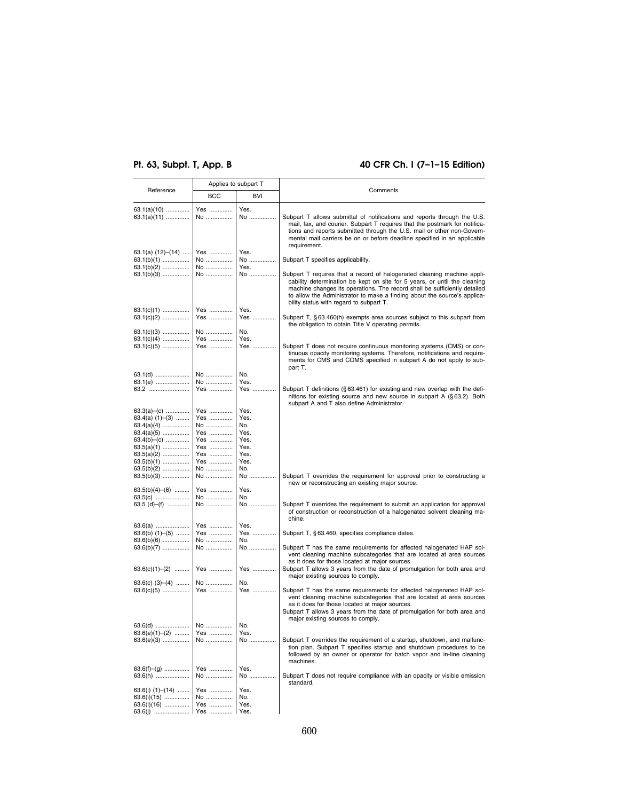# **Pt. 63, Subpt. T, App. B 40 CFR Ch. I (7–1–15 Edition)**

| Reference               | Applies to subpart T |            | Comments                                                                    |  |
|-------------------------|----------------------|------------|-----------------------------------------------------------------------------|--|
|                         | <b>BCC</b>           | <b>BVI</b> |                                                                             |  |
|                         |                      |            |                                                                             |  |
| $63.1(a)(10)$           | Yes                  | Yes.       |                                                                             |  |
| $63.1(a)(11)$           | No                   | No         | Subpart T allows submittal of notifications and reports through the U.S.    |  |
|                         |                      |            | mail, fax, and courier. Subpart T requires that the postmark for notifica-  |  |
|                         |                      |            | tions and reports submitted through the U.S. mail or other non-Govern-      |  |
|                         |                      |            | mental mail carriers be on or before deadline specified in an applicable    |  |
|                         |                      |            | requirement.                                                                |  |
| 63.1(a) $(12)$ – $(14)$ | Yes                  | Yes.       |                                                                             |  |
| $63.1(b)(1)$            | No                   | No         | Subpart T specifies applicability.                                          |  |
| $63.1(b)(2)$            | No                   | Yes.       |                                                                             |  |
| $63.1(b)(3)$            | No                   | No         | Subpart T requires that a record of halogenated cleaning machine appli-     |  |
|                         |                      |            | cability determination be kept on site for 5 years, or until the cleaning   |  |
|                         |                      |            | machine changes its operations. The record shall be sufficiently detailed   |  |
|                         |                      |            | to allow the Administrator to make a finding about the source's applica-    |  |
|                         |                      |            | bility status with regard to subpart T.                                     |  |
| $63.1(c)(1)$            | Yes                  | Yes.       |                                                                             |  |
| $63.1(c)(2)$            | Yes                  | Yes        | Subpart T, §63.460(h) exempts area sources subject to this subpart from     |  |
|                         |                      |            | the obligation to obtain Title V operating permits.                         |  |
| $63.1(c)(3)$            | No                   | No.        |                                                                             |  |
| $63.1(c)(4)$            | Yes                  | Yes.       |                                                                             |  |
| $63.1(c)(5)$            | Yes                  | Yes        | Subpart T does not require continuous monitoring systems (CMS) or con-      |  |
|                         |                      |            | tinuous opacity monitoring systems. Therefore, notifications and require-   |  |
|                         |                      |            | ments for CMS and COMS specified in subpart A do not apply to sub-          |  |
|                         |                      |            | part T.                                                                     |  |
|                         | No                   | No.        |                                                                             |  |
| 63.1(e)                 | No                   | Yes.       |                                                                             |  |
| 63.2                    | Yes                  | Yes        | Subpart T definitions (§63.461) for existing and new overlap with the defi- |  |
|                         |                      |            | nitions for existing source and new source in subpart A (§63.2). Both       |  |
|                         |                      |            | subpart A and T also define Administrator.                                  |  |
| $63.3(a)$ - (c)         | Yes                  | Yes.       |                                                                             |  |
| $63.4(a) (1)–(3) \dots$ | Yes                  | Yes.       |                                                                             |  |
| $63.4(a)(4)$            | No                   | No.        |                                                                             |  |
| $63.4(a)(5)$            | Yes                  | Yes.       |                                                                             |  |
| $63.4(b)$ – (c)         | Yes                  | Yes.       |                                                                             |  |
|                         | Yes                  | Yes.       |                                                                             |  |
| $63.5(a)(2)$            | Yes                  | Yes.       |                                                                             |  |
| $63.5(b)(1)$            | Yes                  | Yes.       |                                                                             |  |
| $63.5(b)(2)$            | No                   | No.        |                                                                             |  |
| $63.5(b)(3)$            | No                   | No         | Subpart T overrides the requirement for approval prior to constructing a    |  |
|                         |                      |            | new or reconstructing an existing major source.                             |  |
| $63.5(b)(4)$ $-(6)$     | Yes                  | Yes.       |                                                                             |  |
| 63.5(c)                 | No                   | No.        |                                                                             |  |
| 63.5 (d)–(f)            | No                   | No         | Subpart T overrides the requirement to submit an application for approval   |  |
|                         |                      |            | of construction or reconstruction of a halogenated solvent cleaning ma-     |  |
|                         |                      |            | chine.                                                                      |  |
| 63.6(a)                 | Yes                  | Yes.       |                                                                             |  |
| $63.6(b)$ $(1)$ $-(5)$  | Yes                  | Yes        | Subpart T, §63.460, specifies compliance dates.                             |  |
| $63.6(b)(6)$            | No                   | No.        |                                                                             |  |
| $63.6(b)(7)$            | No                   | No         | Subpart T has the same requirements for affected halogenated HAP sol-       |  |
|                         |                      |            | vent cleaning machine subcategories that are located at area sources        |  |
|                         |                      |            | as it does for those located at major sources.                              |  |
| $63.6(c)(1)–(2)$        | Yes                  | Yes        | Subpart T allows 3 years from the date of promulgation for both area and    |  |
|                         |                      |            | major existing sources to comply.                                           |  |
| $63.6(c)$ $(3)-(4)$     | No                   | No.        |                                                                             |  |
| $63.6(c)(5)$            | Yes                  | Yes        | Subpart T has the same requirements for affected halogenated HAP sol-       |  |
|                         |                      |            | vent cleaning machine subcategories that are located at area sources        |  |
|                         |                      |            | as it does for those located at major sources.                              |  |
|                         |                      |            | Subpart T allows 3 years from the date of promulgation for both area and    |  |
|                         |                      |            | major existing sources to comply.                                           |  |
|                         |                      |            |                                                                             |  |
| $63.6(e)(1)–(2)$        | Yes                  | Yes.       |                                                                             |  |
| $63.6(e)(3)$            | No                   | No         | Subpart T overrides the requirement of a startup, shutdown, and malfunc-    |  |
|                         |                      |            | tion plan. Subpart T specifies startup and shutdown procedures to be        |  |
|                         |                      |            | followed by an owner or operator for batch vapor and in-line cleaning       |  |
|                         |                      |            | machines.                                                                   |  |
| $63.6(f)-(g)$           | Yes                  | Yes.       |                                                                             |  |
| 63.6(h)                 | No                   | No         | Subpart T does not require compliance with an opacity or visible emission   |  |
|                         |                      |            | standard.                                                                   |  |
| 63.6(i) $(1)$ – $(14)$  | Yes                  | Yes.       |                                                                             |  |
| $63.6(i)(15)$           | No                   | No.        |                                                                             |  |
| $63.6(i)(16)$           | Yes                  | Yes.       |                                                                             |  |
| $63.6(j)$               | Yes                  | Yes.       |                                                                             |  |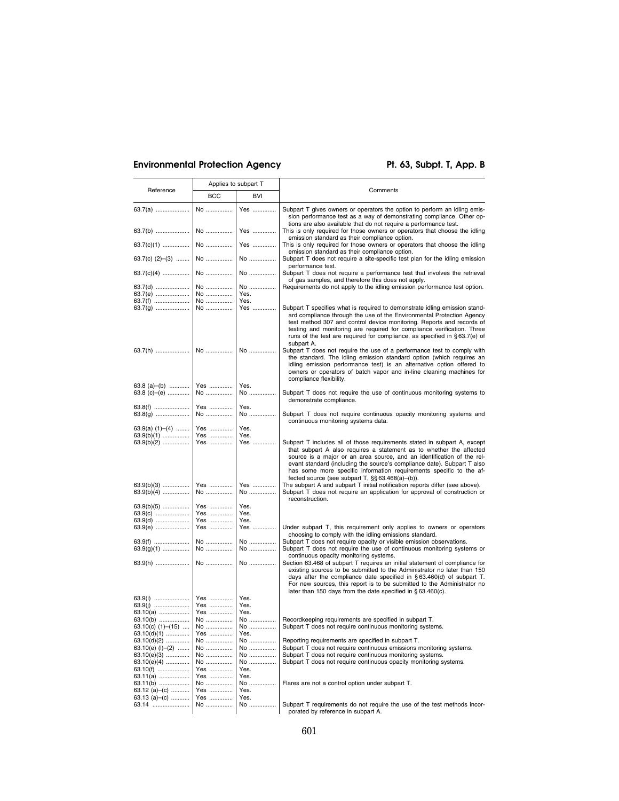# Environmental Protection Agency **Pt. 63, Subpt. T, App. B**

| Reference                             | Applies to subpart T |              |                                                                                                                                                                                                                                                                                                                                                                                                                                           |
|---------------------------------------|----------------------|--------------|-------------------------------------------------------------------------------------------------------------------------------------------------------------------------------------------------------------------------------------------------------------------------------------------------------------------------------------------------------------------------------------------------------------------------------------------|
|                                       | <b>BCC</b>           | BVI          | Comments                                                                                                                                                                                                                                                                                                                                                                                                                                  |
| 63.7(a)                               | No                   | Yes          | Subpart T gives owners or operators the option to perform an idling emis-<br>sion performance test as a way of demonstrating compliance. Other op-<br>tions are also available that do not require a performance test.                                                                                                                                                                                                                    |
| 63.7(b)                               | No                   | Yes          | This is only required for those owners or operators that choose the idling<br>emission standard as their compliance option.                                                                                                                                                                                                                                                                                                               |
| 63.7(c)(1)                            | No                   | Yes          | This is only required for those owners or operators that choose the idling<br>emission standard as their compliance option.                                                                                                                                                                                                                                                                                                               |
| 63.7(c) $(2)$ - $(3)$                 | No                   | No           | Subpart T does not require a site-specific test plan for the idling emission<br>performance test.                                                                                                                                                                                                                                                                                                                                         |
| $63.7(c)(4)$                          | No                   | No           | Subpart T does not require a performance test that involves the retrieval<br>of gas samples, and therefore this does not apply.                                                                                                                                                                                                                                                                                                           |
| 63.7(d)<br>63.7(e)                    | No<br>No<br>No       | No<br>Yes.   | Requirements do not apply to the idling emission performance test option.                                                                                                                                                                                                                                                                                                                                                                 |
| 63.7(f)<br>63.7(g)                    | No                   | Yes.<br>Yes  | Subpart T specifies what is required to demonstrate idling emission stand-<br>ard compliance through the use of the Environmental Protection Agency<br>test method 307 and control device monitoring. Reports and records of<br>testing and monitoring are required for compliance verification. Three<br>runs of the test are required for compliance, as specified in §63.7(e) of<br>subpart A.                                         |
|                                       |                      |              | Subpart T does not require the use of a performance test to comply with<br>the standard. The idling emission standard option (which requires an<br>idling emission performance test) is an alternative option offered to<br>owners or operators of batch vapor and in-line cleaning machines for<br>compliance flexibility.                                                                                                               |
| 63.8 (a)–(b)<br>63.8 (c)–(e)          | Yes<br>No            | Yes.<br>No   | Subpart T does not require the use of continuous monitoring systems to<br>demonstrate compliance.                                                                                                                                                                                                                                                                                                                                         |
| 63.8(f)<br>63.8(g)                    | Yes<br>No            | Yes.<br>No   | Subpart T does not require continuous opacity monitoring systems and<br>continuous monitoring systems data.                                                                                                                                                                                                                                                                                                                               |
| 63.9(a) $(1)$ – $(4)$<br>$63.9(b)(1)$ | Yes<br>Yes           | Yes.<br>Yes. |                                                                                                                                                                                                                                                                                                                                                                                                                                           |
| $63.9(b)(2)$                          | Yes                  | Yes          | Subpart T includes all of those requirements stated in subpart A, except<br>that subpart A also requires a statement as to whether the affected<br>source is a major or an area source, and an identification of the rel-<br>evant standard (including the source's compliance date). Subpart T also<br>has some more specific information requirements specific to the af-<br>fected source (see subpart $T$ , $\S$ $\S$ 63.468(a)–(b)). |
| $63.9(b)(3)$<br>$63.9(b)(4)$          | Yes<br>No            | Yes<br>No    | The subpart A and subpart T initial notification reports differ (see above).<br>Subpart T does not require an application for approval of construction or<br>reconstruction.                                                                                                                                                                                                                                                              |
| $63.9(b)(5)$<br>63.9(c)               | Yes<br>Yes           | Yes.<br>Yes. |                                                                                                                                                                                                                                                                                                                                                                                                                                           |
| 63.9(d)<br>63.9(e)                    | Yes<br>Yes           | Yes.<br>Yes  | Under subpart T, this requirement only applies to owners or operators<br>choosing to comply with the idling emissions standard.                                                                                                                                                                                                                                                                                                           |
| 63.9(f)<br>$63.9(g)(1)$               | No<br>No             | No<br>No     | Subpart T does not require opacity or visible emission observations.<br>Subpart T does not require the use of continuous monitoring systems or<br>continuous opacity monitoring systems.                                                                                                                                                                                                                                                  |
| $63.9(h)$                             | No                   | No           | Section 63.468 of subpart T requires an initial statement of compliance for<br>existing sources to be submitted to the Administrator no later than 150<br>days after the compliance date specified in $\S 63.460(d)$ of subpart T.<br>For new sources, this report is to be submitted to the Administrator no<br>later than 150 days from the date specified in §63.460(c).                                                               |
|                                       | Yes<br>Yes           | Yes.<br>Yes. |                                                                                                                                                                                                                                                                                                                                                                                                                                           |
| 63.10(a)                              | Yes                  | Yes.         |                                                                                                                                                                                                                                                                                                                                                                                                                                           |
| 63.10(b)                              | No                   | No           | Recordkeeping requirements are specified in subpart T.                                                                                                                                                                                                                                                                                                                                                                                    |
| 63.10(c) $(1)$ - $(15)$               | No                   | No           | Subpart T does not require continuous monitoring systems.                                                                                                                                                                                                                                                                                                                                                                                 |
| $63.10(d)(1)$                         | Yes                  | Yes.         |                                                                                                                                                                                                                                                                                                                                                                                                                                           |
| $63.10(d)(2)$                         | No                   | No           | Reporting requirements are specified in subpart T.                                                                                                                                                                                                                                                                                                                                                                                        |
| $63.10(e)$ (I)–(2)                    | No                   | No           | Subpart T does not require continuous emissions monitoring systems.                                                                                                                                                                                                                                                                                                                                                                       |
| $63.10(e)(3)$                         | No                   | No           | Subpart T does not require continuous monitoring systems.                                                                                                                                                                                                                                                                                                                                                                                 |
| $63.10(e)(4)$                         | No                   | No           | Subpart T does not require continuous opacity monitoring systems.                                                                                                                                                                                                                                                                                                                                                                         |
| 63.10(f)                              | Yes                  | Yes.         |                                                                                                                                                                                                                                                                                                                                                                                                                                           |
| $63.11(a)$                            | Yes                  | Yes.         |                                                                                                                                                                                                                                                                                                                                                                                                                                           |
| 63.11(b)                              | No                   | No           | Flares are not a control option under subpart T.                                                                                                                                                                                                                                                                                                                                                                                          |
| 63.12 (a)–(c)                         | Yes                  | Yes.         |                                                                                                                                                                                                                                                                                                                                                                                                                                           |
| 63.13 (a)–(c)                         | Yes                  | Yes.         |                                                                                                                                                                                                                                                                                                                                                                                                                                           |
| 63.14                                 | No                   | No           | Subpart T requirements do not require the use of the test methods incor-                                                                                                                                                                                                                                                                                                                                                                  |
|                                       |                      |              | porated by reference in subpart A.                                                                                                                                                                                                                                                                                                                                                                                                        |